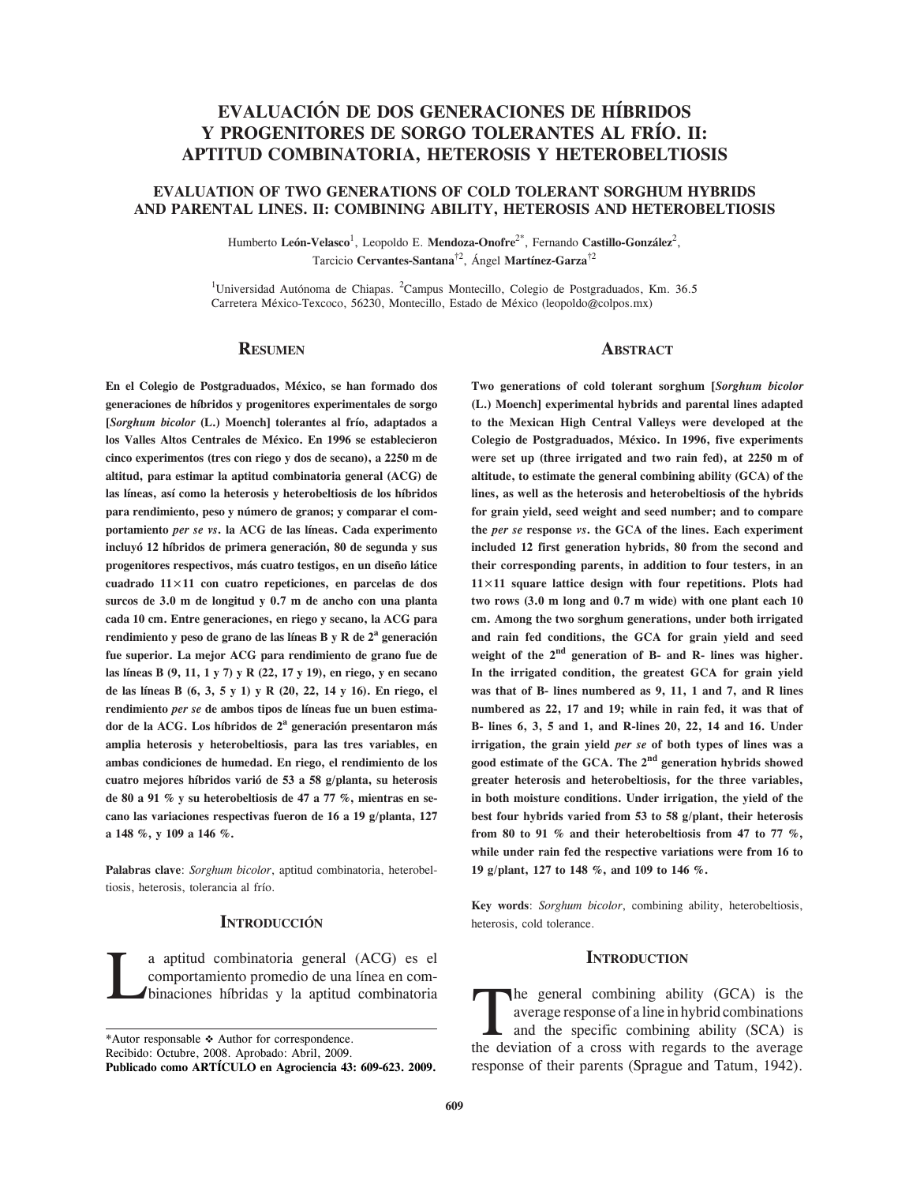# **EVALUACIÓN DE DOS GENERACIONES DE HÍBRIDOS Y PROGENITORES DE SORGO TOLERANTES AL FRÍO. II: APTITUD COMBINATORIA, HETEROSIS Y HETEROBELTIOSIS**

# **EVALUATION OF TWO GENERATIONS OF COLD TOLERANT SORGHUM HYBRIDS AND PARENTAL LINES. II: COMBINING ABILITY, HETEROSIS AND HETEROBELTIOSIS**

Humberto León-Velasco<sup>1</sup>, Leopoldo E. Mendoza-Onofre<sup>2\*</sup>, Fernando Castillo-González<sup>2</sup>, Tarcicio **Cervantes-Santana**†2, Ángel **Martínez-Garza**†2

<sup>1</sup>Universidad Autónoma de Chiapas. <sup>2</sup>Campus Montecillo, Colegio de Postgraduados, Km. 36.5 Carretera México-Texcoco, 56230, Montecillo, Estado de México (leopoldo@colpos.mx)

#### **Resumen**

**En el Colegio de Postgraduados, México, se han formado dos generaciones de híbridos y progenitores experimentales de sorgo [***Sorghum bicolor* **(L.) Moench] tolerantes al frío, adaptados a los Valles Altos Centrales de México. En 1996 se establecieron cinco experimentos (tres con riego y dos de secano), a 2250 m de altitud, para estimar la aptitud combinatoria general (ACG) de las líneas, así como la heterosis y heterobeltiosis de los híbridos para rendimiento, peso y número de granos; y comparar el comportamiento** *per se vs***. la ACG de las líneas. Cada experimento incluyó 12 híbridos de primera generación, 80 de segunda y sus progenitores respectivos, más cuatro testigos, en un diseño látice cuadrado 11×11 con cuatro repeticiones, en parcelas de dos surcos de 3.0 m de longitud y 0.7 m de ancho con una planta cada 10 cm. Entre generaciones, en riego y secano, la ACG para rendimiento y peso de grano de las líneas B y R de 2<sup>a</sup> generación fue superior. La mejor ACG para rendimiento de grano fue de las líneas B (9, 11, 1 y 7) y R (22, 17 y 19), en riego, y en secano de las líneas B (6, 3, 5 y 1) y R (20, 22, 14 y 16). En riego, el rendimiento** *per se* **de ambos tipos de líneas fue un buen estimador de la ACG. Los híbridos de 2<sup>a</sup> generación presentaron más amplia heterosis y heterobeltiosis, para las tres variables, en ambas condiciones de humedad. En riego, el rendimiento de los cuatro mejores híbridos varió de 53 a 58 g/planta, su heterosis de 80 a 91 % y su heterobeltiosis de 47 a 77 %, mientras en secano las variaciones respectivas fueron de 16 a 19 g/planta, 127 a 148 %, y 109 a 146 %.**

**Palabras clave**: *Sorghum bicolor*, aptitud combinatoria, heterobeltiosis, heterosis, tolerancia al frío.

# **INTRODUCCIÓN**

La aptitud combinatoria general (ACG) es el binaciones híbridas y la aptitud combinatoria comportamiento promedio de una línea en com-

\*Autor responsable \* Author for correspondence.

Recibido: Octubre, 2008. Aprobado: Abril, 2009.

**Publicado como ARTÍCULO en Agrociencia 43: 609-623. 2009.**

#### **ABSTRACT**

**Two generations of cold tolerant sorghum [***Sorghum bicolor*  **(L.) Moench] experimental hybrids and parental lines adapted to the Mexican High Central Valleys were developed at the Colegio de Postgraduados, México. In 1996, five experiments were set up (three irrigated and two rain fed), at 2250 m of altitude, to estimate the general combining ability (GCA) of the lines, as well as the heterosis and heterobeltiosis of the hybrids for grain yield, seed weight and seed number; and to compare the** *per se* **response** *vs***. the GCA of the lines. Each experiment included 12 first generation hybrids, 80 from the second and their corresponding parents, in addition to four testers, in an 1111 square lattice design with four repetitions. Plots had two rows (3.0 m long and 0.7 m wide) with one plant each 10 cm. Among the two sorghum generations, under both irrigated and rain fed conditions, the GCA for grain yield and seed weight of the 2nd generation of B- and R- lines was higher. In the irrigated condition, the greatest GCA for grain yield was that of B- lines numbered as 9, 11, 1 and 7, and R lines numbered as 22, 17 and 19; while in rain fed, it was that of B- lines 6, 3, 5 and 1, and R-lines 20, 22, 14 and 16. Under irrigation, the grain yield** *per se* **of both types of lines was a good estimate of the GCA. The 2nd generation hybrids showed greater heterosis and heterobeltiosis, for the three variables, in both moisture conditions. Under irrigation, the yield of the best four hybrids varied from 53 to 58 g/plant, their heterosis from 80 to 91 % and their heterobeltiosis from 47 to 77 %, while under rain fed the respective variations were from 16 to 19 g/plant, 127 to 148 %, and 109 to 146 %.**

**Key words**: *Sorghum bicolor*, combining ability, heterobeltiosis, heterosis, cold tolerance.

### **INTRODUCTION**

The general combining ability (GCA) is the<br>average response of a line in hybrid combinations<br>and the specific combining ability (SCA) is<br>the deviation of a cross with regards to the average average response of a line in hybrid combinations and the specific combining ability (SCA) is the deviation of a cross with regards to the average response of their parents (Sprague and Tatum, 1942).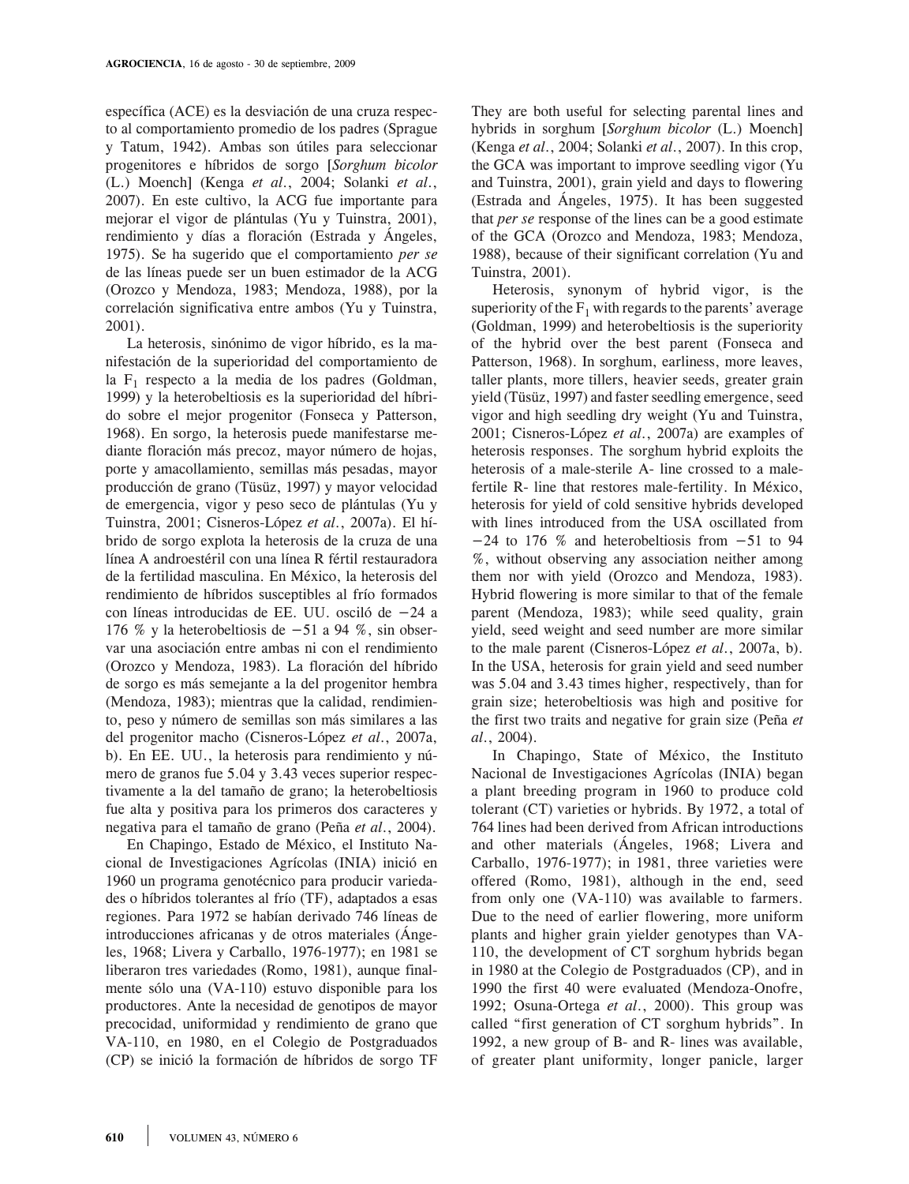específica (ACE) es la desviación de una cruza respecto al comportamiento promedio de los padres (Sprague y Tatum, 1942). Ambas son útiles para seleccionar progenitores e híbridos de sorgo [*Sorghum bicolor*  (L.) Moench] (Kenga *et al*., 2004; Solanki *et al*., 2007). En este cultivo, la ACG fue importante para mejorar el vigor de plántulas (Yu y Tuinstra, 2001), rendimiento y días a floración (Estrada y Ángeles, 1975). Se ha sugerido que el comportamiento *per se*  de las líneas puede ser un buen estimador de la ACG (Orozco y Mendoza, 1983; Mendoza, 1988), por la correlación significativa entre ambos (Yu y Tuinstra, 2001).

La heterosis, sinónimo de vigor híbrido, es la manifestación de la superioridad del comportamiento de la  $F_1$  respecto a la media de los padres (Goldman, 1999) y la heterobeltiosis es la superioridad del híbrido sobre el mejor progenitor (Fonseca y Patterson, 1968). En sorgo, la heterosis puede manifestarse mediante floración más precoz, mayor número de hojas, porte y amacollamiento, semillas más pesadas, mayor producción de grano (Tüsüz, 1997) y mayor velocidad de emergencia, vigor y peso seco de plántulas (Yu y Tuinstra, 2001; Cisneros-López *et al*., 2007a). El híbrido de sorgo explota la heterosis de la cruza de una línea A androestéril con una línea R fértil restauradora de la fertilidad masculina. En México, la heterosis del rendimiento de híbridos susceptibles al frío formados con líneas introducidas de EE. UU. osciló de -24 a 176 % y la heterobeltiosis de  $-51$  a 94 %, sin observar una asociación entre ambas ni con el rendimiento (Orozco y Mendoza, 1983). La floración del híbrido de sorgo es más semejante a la del progenitor hembra (Mendoza, 1983); mientras que la calidad, rendimiento, peso y número de semillas son más similares a las del progenitor macho (Cisneros-López *et al*., 2007a, b). En EE. UU., la heterosis para rendimiento y número de granos fue 5.04 y 3.43 veces superior respectivamente a la del tamaño de grano; la heterobeltiosis fue alta y positiva para los primeros dos caracteres y negativa para el tamaño de grano (Peña *et al*., 2004).

En Chapingo, Estado de México, el Instituto Nacional de Investigaciones Agrícolas (INIA) inició en 1960 un programa genotécnico para producir variedades o híbridos tolerantes al frío (TF), adaptados a esas regiones. Para 1972 se habían derivado 746 líneas de introducciones africanas y de otros materiales (Ángeles, 1968; Livera y Carballo, 1976-1977); en 1981 se liberaron tres variedades (Romo, 1981), aunque finalmente sólo una (VA-110) estuvo disponible para los productores. Ante la necesidad de genotipos de mayor precocidad, uniformidad y rendimiento de grano que VA-110, en 1980, en el Colegio de Postgraduados (CP) se inició la formación de híbridos de sorgo TF

They are both useful for selecting parental lines and hybrids in sorghum [*Sorghum bicolor* (L.) Moench] (Kenga *et al*., 2004; Solanki *et al*., 2007). In this crop, the GCA was important to improve seedling vigor (Yu and Tuinstra, 2001), grain yield and days to flowering (Estrada and Ángeles, 1975). It has been suggested that *per se* response of the lines can be a good estimate of the GCA (Orozco and Mendoza, 1983; Mendoza, 1988), because of their significant correlation (Yu and Tuinstra, 2001).

Heterosis, synonym of hybrid vigor, is the superiority of the  $F_1$  with regards to the parents' average (Goldman, 1999) and heterobeltiosis is the superiority of the hybrid over the best parent (Fonseca and Patterson, 1968). In sorghum, earliness, more leaves, taller plants, more tillers, heavier seeds, greater grain yield (Tüsüz, 1997) and faster seedling emergence, seed vigor and high seedling dry weight (Yu and Tuinstra, 2001; Cisneros-López *et al*., 2007a) are examples of heterosis responses. The sorghum hybrid exploits the heterosis of a male-sterile A- line crossed to a malefertile R- line that restores male-fertility. In México, heterosis for yield of cold sensitive hybrids developed with lines introduced from the USA oscillated from  $-24$  to 176 % and heterobeltiosis from  $-51$  to 94 %, without observing any association neither among them nor with yield (Orozco and Mendoza, 1983). Hybrid flowering is more similar to that of the female parent (Mendoza, 1983); while seed quality, grain yield, seed weight and seed number are more similar to the male parent (Cisneros-López *et al*., 2007a, b). In the USA, heterosis for grain yield and seed number was 5.04 and 3.43 times higher, respectively, than for grain size; heterobeltiosis was high and positive for the first two traits and negative for grain size (Peña *et al*., 2004).

In Chapingo, State of México, the Instituto Nacional de Investigaciones Agrícolas (INIA) began a plant breeding program in 1960 to produce cold tolerant (CT) varieties or hybrids. By 1972, a total of 764 lines had been derived from African introductions and other materials (Ángeles, 1968; Livera and Carballo, 1976-1977); in 1981, three varieties were offered (Romo, 1981), although in the end, seed from only one (VA-110) was available to farmers. Due to the need of earlier flowering, more uniform plants and higher grain yielder genotypes than VA-110, the development of CT sorghum hybrids began in 1980 at the Colegio de Postgraduados (CP), and in 1990 the first 40 were evaluated (Mendoza-Onofre, 1992; Osuna-Ortega *et al*., 2000). This group was called "first generation of CT sorghum hybrids". In 1992, a new group of B- and R- lines was available, of greater plant uniformity, longer panicle, larger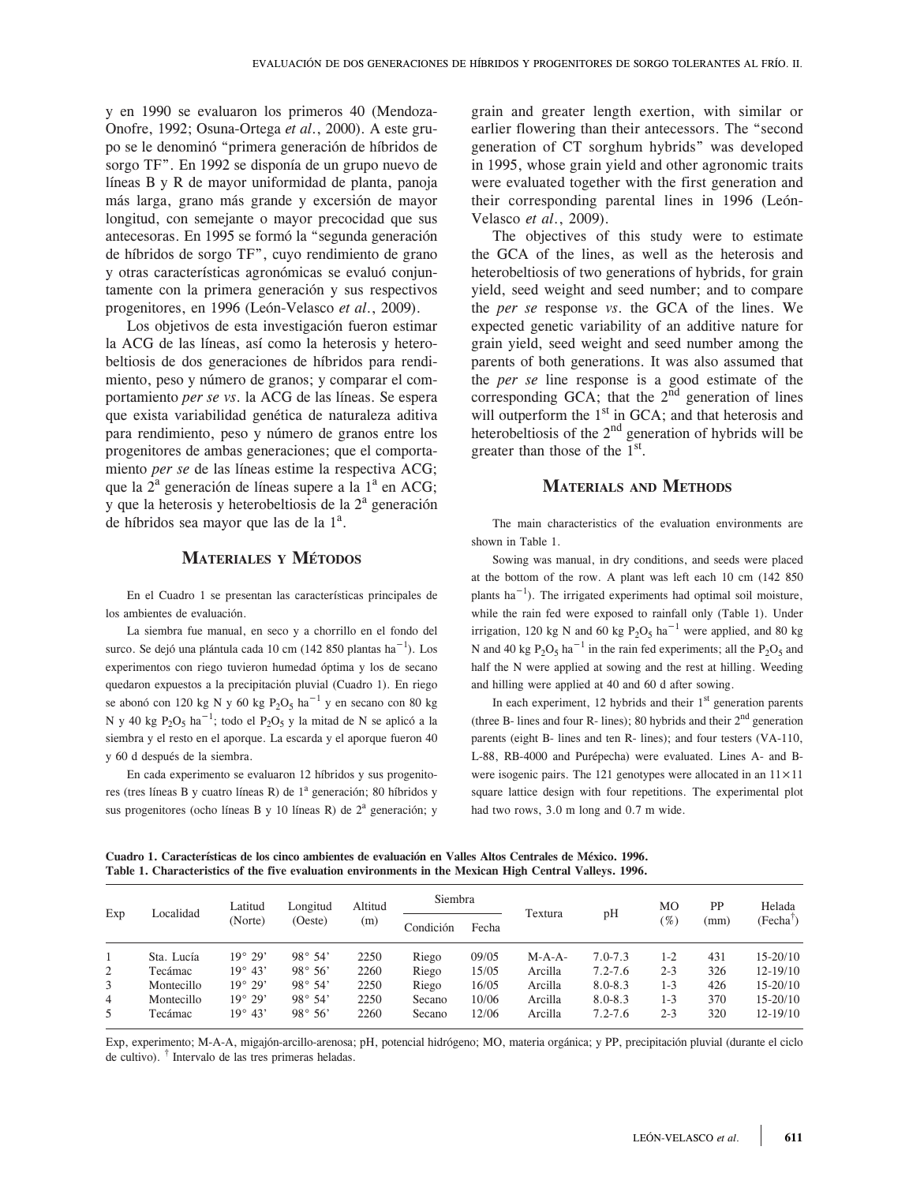y en 1990 se evaluaron los primeros 40 (Mendoza-Onofre, 1992; Osuna-Ortega *et al*., 2000). A este grupo se le denominó "primera generación de híbridos de sorgo TF". En 1992 se disponía de un grupo nuevo de líneas B y R de mayor uniformidad de planta, panoja más larga, grano más grande y excersión de mayor longitud, con semejante o mayor precocidad que sus antecesoras. En 1995 se formó la "segunda generación de híbridos de sorgo TF", cuyo rendimiento de grano y otras características agronómicas se evaluó conjuntamente con la primera generación y sus respectivos progenitores, en 1996 (León-Velasco *et al*., 2009).

Los objetivos de esta investigación fueron estimar la ACG de las líneas, así como la heterosis y heterobeltiosis de dos generaciones de híbridos para rendimiento, peso y número de granos; y comparar el comportamiento *per se vs*. la ACG de las líneas. Se espera que exista variabilidad genética de naturaleza aditiva para rendimiento, peso y número de granos entre los progenitores de ambas generaciones; que el comportamiento *per se* de las líneas estime la respectiva ACG; que la  $2^a$  generación de líneas supere a la  $1^a$  en ACG;  $\bar{y}$  que la heterosis y heterobeltiosis de la  $2^a$  generación de híbridos sea mayor que las de la  $1<sup>a</sup>$ .

# **Materiales <sup>y</sup> Métodos**

En el Cuadro 1 se presentan las características principales de los ambientes de evaluación.

La siembra fue manual, en seco y a chorrillo en el fondo del surco. Se dejó una plántula cada 10 cm (142 850 plantas ha $^{-1}$ ). Los experimentos con riego tuvieron humedad óptima y los de secano quedaron expuestos a la precipitación pluvial (Cuadro 1). En riego se abonó con 120 kg N y 60 kg  $P_2O_5$  ha $^{-1}$  y en secano con 80 kg N y 40 kg  $P_2O_5$  ha<sup>-1</sup>; todo el  $P_2O_5$  y la mitad de N se aplicó a la siembra y el resto en el aporque. La escarda y el aporque fueron 40 y 60 d después de la siembra.

En cada experimento se evaluaron 12 híbridos y sus progenitores (tres líneas B y cuatro líneas R) de 1<sup>a</sup> generación; 80 híbridos y sus progenitores (ocho líneas B y 10 líneas R) de  $2<sup>a</sup>$  generación; y grain and greater length exertion, with similar or earlier flowering than their antecessors. The "second generation of CT sorghum hybrids" was developed in 1995, whose grain yield and other agronomic traits were evaluated together with the first generation and their corresponding parental lines in 1996 (León-Velasco *et al*., 2009).

The objectives of this study were to estimate the GCA of the lines, as well as the heterosis and heterobeltiosis of two generations of hybrids, for grain yield, seed weight and seed number; and to compare the *per se* response *vs*. the GCA of the lines. We expected genetic variability of an additive nature for grain yield, seed weight and seed number among the parents of both generations. It was also assumed that the *per se* line response is a good estimate of the corresponding GCA; that the  $2<sup>nd</sup>$  generation of lines will outperform the  $1<sup>st</sup>$  in GCA; and that heterosis and heterobeltiosis of the  $2<sup>nd</sup>$  generation of hybrids will be greater than those of the  $1<sup>st</sup>$ .

## **Materials and Methods**

The main characteristics of the evaluation environments are shown in Table 1.

Sowing was manual, in dry conditions, and seeds were placed at the bottom of the row. A plant was left each 10 cm (142 850 plants ha<sup> $-1$ </sup>). The irrigated experiments had optimal soil moisture, while the rain fed were exposed to rainfall only (Table 1). Under irrigation, 120 kg N and 60 kg  $P_2O_5$  ha<sup>-1</sup> were applied, and 80 kg N and 40 kg  $P_2O_5$  ha<sup>-1</sup> in the rain fed experiments; all the  $P_2O_5$  and half the N were applied at sowing and the rest at hilling. Weeding and hilling were applied at 40 and 60 d after sowing.

In each experiment, 12 hybrids and their  $1<sup>st</sup>$  generation parents (three B- lines and four R- lines); 80 hybrids and their  $2<sup>nd</sup>$  generation parents (eight B- lines and ten R- lines); and four testers (VA-110, L-88, RB-4000 and Purépecha) were evaluated. Lines A- and Bwere isogenic pairs. The 121 genotypes were allocated in an  $11 \times 11$ square lattice design with four repetitions. The experimental plot had two rows, 3.0 m long and 0.7 m wide.

**Cuadro 1. Características de los cinco ambientes de evaluación en Valles Altos Centrales de México. 1996. Table 1. Characteristics of the five evaluation environments in the Mexican High Central Valleys. 1996.**

| Exp | Localidad  | Latitud          | Longitud         | Altitud<br>(m) | Siembra   |       |          |             | MО      | PP   | Helada       |
|-----|------------|------------------|------------------|----------------|-----------|-------|----------|-------------|---------|------|--------------|
|     |            | (Norte)          | (Oeste)          |                | Condición | Fecha | Textura  | pH          | (%)     | (mm) | (Fecha')     |
|     | Sta. Lucía | 19° 29'          | $98^{\circ} 54'$ | 2250           | Riego     | 09/05 | $M-A-A-$ | $7.0 - 7.3$ | $1 - 2$ | 431  | $15 - 20/10$ |
| 2   | Tecámac    | $19^{\circ} 43'$ | $98^{\circ} 56'$ | 2260           | Riego     | 15/05 | Arcilla  | $7.2 - 7.6$ | $2 - 3$ | 326  | $12 - 19/10$ |
| 3   | Montecillo | 19° 29'          | $98^{\circ} 54'$ | 2250           | Riego     | 16/05 | Arcilla  | $8.0 - 8.3$ | $1 - 3$ | 426  | $15 - 20/10$ |
| 4   | Montecillo | $19^{\circ} 29'$ | $98^{\circ} 54'$ | 2250           | Secano    | 10/06 | Arcilla  | $8.0 - 8.3$ | $1 - 3$ | 370  | $15 - 20/10$ |
| 5   | Tecámac    | $19^{\circ} 43'$ | $98^{\circ} 56'$ | 2260           | Secano    | 12/06 | Arcilla  | $7.2 - 7.6$ | $2 - 3$ | 320  | $12 - 19/10$ |

Exp, experimento; M-A-A, migajón-arcillo-arenosa; pH, potencial hidrógeno; MO, materia orgánica; y PP, precipitación pluvial (durante el ciclo de cultivo). † Intervalo de las tres primeras heladas.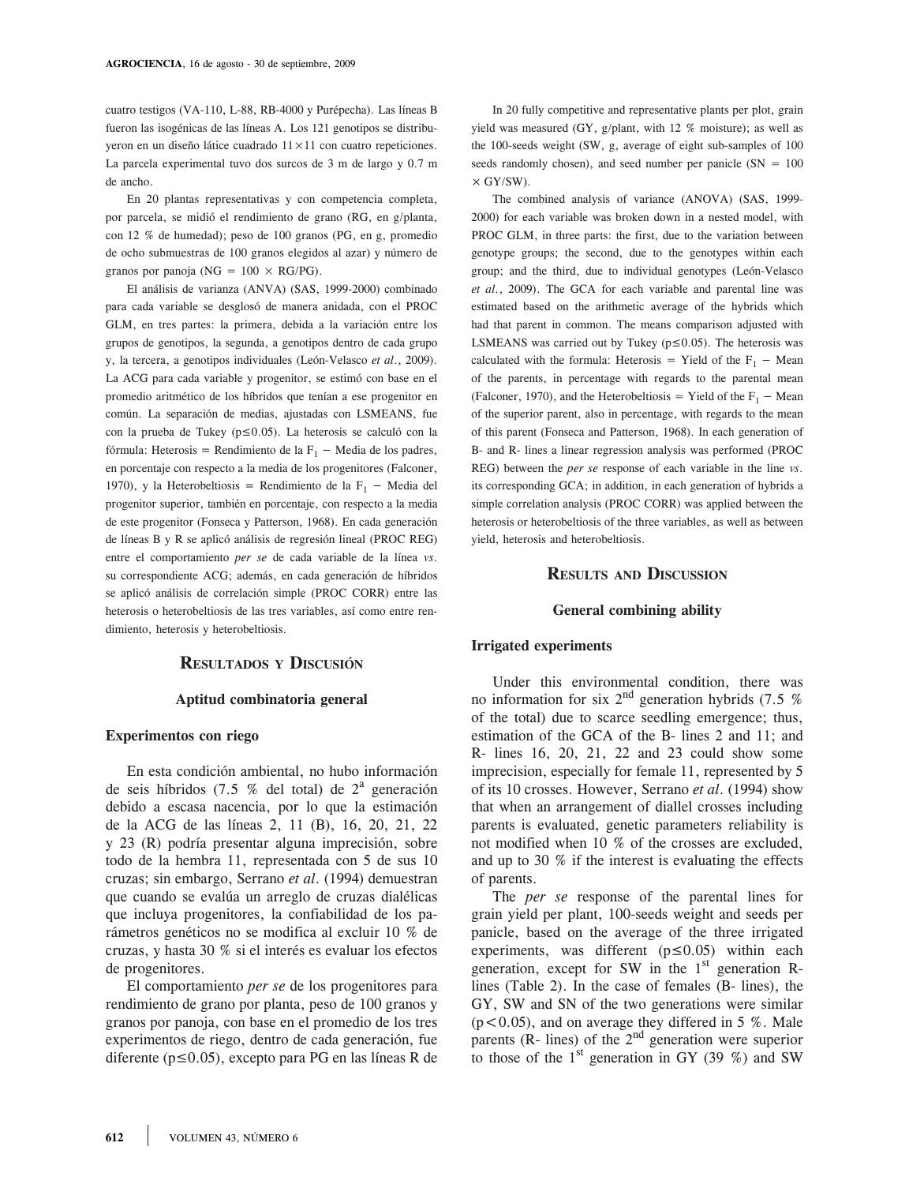cuatro testigos (VA-110, L-88, RB-4000 y Purépecha). Las líneas B fueron las isogénicas de las líneas A. Los 121 genotipos se distribuyeron en un diseño látice cuadrado 11×11 con cuatro repeticiones. La parcela experimental tuvo dos surcos de 3 m de largo y 0.7 m de ancho.

En 20 plantas representativas y con competencia completa, por parcela, se midió el rendimiento de grano (RG, en g/planta, con 12 % de humedad); peso de 100 granos (PG, en g, promedio de ocho submuestras de 100 granos elegidos al azar) y número de granos por panoja (NG =  $100 \times RG/PG$ ).

El análisis de varianza (ANVA) (SAS, 1999-2000) combinado para cada variable se desglosó de manera anidada, con el PROC GLM, en tres partes: la primera, debida a la variación entre los grupos de genotipos, la segunda, a genotipos dentro de cada grupo y, la tercera, a genotipos individuales (León-Velasco *et al*., 2009). La ACG para cada variable y progenitor, se estimó con base en el promedio aritmético de los híbridos que tenían a ese progenitor en común. La separación de medias, ajustadas con LSMEANS, fue con la prueba de Tukey ( $p \le 0.05$ ). La heterosis se calculó con la fórmula: Heterosis = Rendimiento de la  $F_1$  – Media de los padres, en porcentaje con respecto a la media de los progenitores (Falconer, 1970), y la Heterobeltiosis = Rendimiento de la  $F_1$  – Media del progenitor superior, también en porcentaje, con respecto a la media de este progenitor (Fonseca y Patterson, 1968). En cada generación de líneas B y R se aplicó análisis de regresión lineal (PROC REG) entre el comportamiento *per se* de cada variable de la línea *vs*. su correspondiente ACG; además, en cada generación de híbridos se aplicó análisis de correlación simple (PROC CORR) entre las heterosis o heterobeltiosis de las tres variables, así como entre rendimiento, heterosis y heterobeltiosis.

# **Resultados <sup>y</sup> Discusión**

#### **Aptitud combinatoria general**

#### **Experimentos con riego**

En esta condición ambiental, no hubo información de seis híbridos (7.5 % del total) de  $2^a$  generación debido a escasa nacencia, por lo que la estimación de la ACG de las líneas 2, 11 (B), 16, 20, 21, 22 y 23 (R) podría presentar alguna imprecisión, sobre todo de la hembra 11, representada con 5 de sus 10 cruzas; sin embargo, Serrano *et al*. (1994) demuestran que cuando se evalúa un arreglo de cruzas dialélicas que incluya progenitores, la confiabilidad de los parámetros genéticos no se modifica al excluir 10 % de cruzas, y hasta 30 % si el interés es evaluar los efectos de progenitores.

El comportamiento *per se* de los progenitores para rendimiento de grano por planta, peso de 100 granos y granos por panoja, con base en el promedio de los tres experimentos de riego, dentro de cada generación, fue diferente ( $p \le 0.05$ ), excepto para PG en las líneas R de

In 20 fully competitive and representative plants per plot, grain yield was measured (GY, g/plant, with 12 % moisture); as well as the 100-seeds weight (SW, g, average of eight sub-samples of 100 seeds randomly chosen), and seed number per panicle  $(SN = 100$  $\times$  GY/SW).

The combined analysis of variance (ANOVA) (SAS, 1999- 2000) for each variable was broken down in a nested model, with PROC GLM, in three parts: the first, due to the variation between genotype groups; the second, due to the genotypes within each group; and the third, due to individual genotypes (León-Velasco *et al*., 2009). The GCA for each variable and parental line was estimated based on the arithmetic average of the hybrids which had that parent in common. The means comparison adjusted with LSMEANS was carried out by Tukey ( $p \le 0.05$ ). The heterosis was calculated with the formula: Heterosis = Yield of the  $F_1$  – Mean of the parents, in percentage with regards to the parental mean (Falconer, 1970), and the Heterobeltiosis = Yield of the  $F_1$  – Mean of the superior parent, also in percentage, with regards to the mean of this parent (Fonseca and Patterson, 1968). In each generation of B- and R- lines a linear regression analysis was performed (PROC REG) between the *per se* response of each variable in the line *vs*. its corresponding GCA; in addition, in each generation of hybrids a simple correlation analysis (PROC CORR) was applied between the heterosis or heterobeltiosis of the three variables, as well as between yield, heterosis and heterobeltiosis.

# **Results and Discussion**

#### **General combining ability**

#### **Irrigated experiments**

Under this environmental condition, there was no information for six  $2^{nd}$  generation hybrids (7.5 %) of the total) due to scarce seedling emergence; thus, estimation of the GCA of the B- lines 2 and 11; and R- lines 16, 20, 21, 22 and 23 could show some imprecision, especially for female 11, represented by 5 of its 10 crosses. However, Serrano *et al*. (1994) show that when an arrangement of diallel crosses including parents is evaluated, genetic parameters reliability is not modified when 10 % of the crosses are excluded, and up to 30 % if the interest is evaluating the effects of parents.

The *per se* response of the parental lines for grain yield per plant, 100-seeds weight and seeds per panicle, based on the average of the three irrigated experiments, was different  $(p \le 0.05)$  within each generation, except for SW in the  $1<sup>st</sup>$  generation Rlines (Table 2). In the case of females (B- lines), the GY, SW and SN of the two generations were similar  $(p<0.05)$ , and on average they differed in 5 %. Male parents (R- lines) of the  $2<sup>nd</sup>$  generation were superior to those of the  $1<sup>st</sup>$  generation in GY (39 %) and SW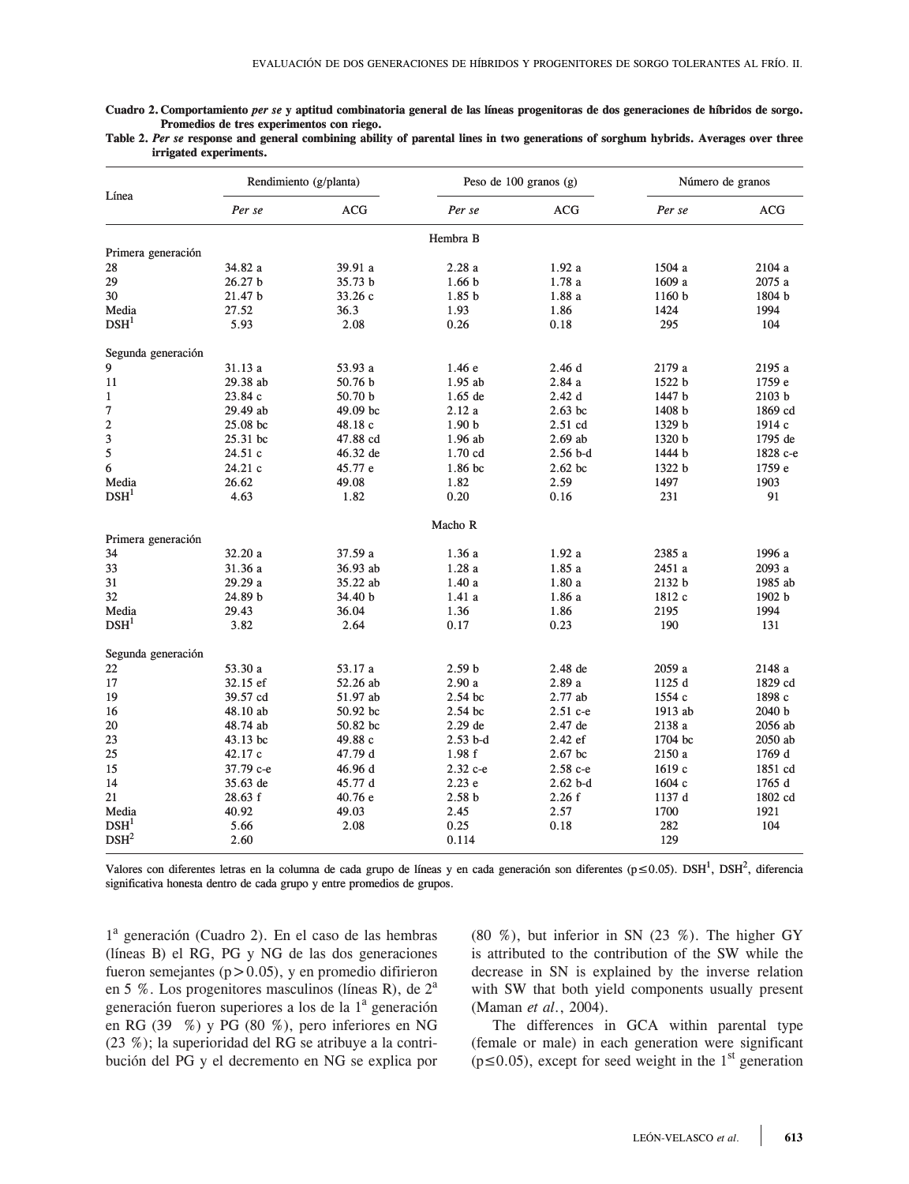**Cuadro 2. Comportamiento** *per se* **y aptitud combinatoria general de las líneas progenitoras de dos generaciones de híbridos de sorgo. de híbridos Promedios de tres experimentos con riego.** 

| Table 2. Per se response and general combining ability of parental lines in two generations of sorghum hybrids. Averages over three |  |  |  |  |  |
|-------------------------------------------------------------------------------------------------------------------------------------|--|--|--|--|--|
| irrigated experiments.                                                                                                              |  |  |  |  |  |

|                    |                    | Rendimiento (g/planta) |                   | Peso de 100 granos $(g)$ | Número de granos |            |  |
|--------------------|--------------------|------------------------|-------------------|--------------------------|------------------|------------|--|
| Línea              | Per se             | ACG                    | Per se            | ACG                      | Per se           | <b>ACG</b> |  |
|                    |                    |                        | Hembra B          |                          |                  |            |  |
| Primera generación |                    |                        |                   |                          |                  |            |  |
| 28                 | 34.82 a            | 39.91 a                | 2.28a             | 1.92a                    | 1504 a           | 2104 a     |  |
| 29                 | 26.27 <sub>b</sub> | 35.73 <sub>b</sub>     | 1.66 <sub>b</sub> | 1.78a                    | 1609 a           | 2075 a     |  |
| 30                 | 21.47 b            | 33.26c                 | 1.85 <sub>b</sub> | 1.88a                    | 1160 b           | 1804 b     |  |
| Media              | 27.52              | 36.3                   | 1.93              | 1.86                     | 1424             | 1994       |  |
| DSH <sup>1</sup>   | 5.93               | 2.08                   | 0.26              | 0.18                     | 295              | 104        |  |
| Segunda generación |                    |                        |                   |                          |                  |            |  |
| 9                  | 31.13 a            | 53.93 a                | 1.46e             | 2.46d                    | 2179 a           | 2195 a     |  |
| 11                 | 29.38 ab           | 50.76 <sub>b</sub>     | $1.95$ ab         | 2.84a                    | 1522 b           | 1759 e     |  |
| $\mathbf{1}$       | 23.84 c            | 50.70 b                | $1.65$ de         | 2.42d                    | 1447 b           | 2103 b     |  |
| 7                  | 29.49 ab           | 49.09 bc               | 2.12a             | $2.63$ bc                | 1408 b           | 1869 cd    |  |
| $\mathbf{2}$       | 25.08 bc           | 48.18 c                | 1.90 <sub>b</sub> | $2.51$ cd                | 1329 b           | 1914 c     |  |
| 3                  | 25.31 bc           | 47.88 cd               | $1.96$ ab         | $2.69$ ab                | 1320 b           | 1795 de    |  |
| 5                  | 24.51c             | 46.32 de               | $1.70$ cd         | $2.56$ b-d               | 1444 b           | 1828 c-e   |  |
| 6                  | 24.21 c            | 45.77 e                | 1.86 bc           | $2.62$ bc                | 1322 b           | 1759 e     |  |
| Media              | 26.62              | 49.08                  | 1.82              | 2.59                     | 1497             | 1903       |  |
| DSH <sup>1</sup>   | 4.63               | 1.82                   | 0.20              | 0.16                     | 231              | 91         |  |
|                    |                    |                        | Macho R           |                          |                  |            |  |
| Primera generación |                    |                        |                   |                          |                  |            |  |
| 34                 | 32.20 a            | 37.59 a                | 1.36a             | 1.92a                    | 2385 a           | 1996 a     |  |
| 33                 | 31.36 a            | 36.93 ab               | 1.28a             | 1.85a                    | 2451 a           | 2093 a     |  |
| 31                 | 29.29 a            | 35.22 ab               | 1.40a             | 1.80a                    | 2132 b           | 1985 ab    |  |
| 32                 | 24.89 b            | 34.40 b                | 1.41a             | 1.86a                    | 1812 c           | 1902 b     |  |
| Media              | 29.43              | 36.04                  | 1.36              | 1.86                     | 2195             | 1994       |  |
| DSH <sup>1</sup>   | 3.82               | 2.64                   | 0.17              | 0.23                     | 190              | 131        |  |
| Segunda generación |                    |                        |                   |                          |                  |            |  |
| 22                 | 53.30 a            | 53.17 a                | 2.59 <sub>b</sub> | 2.48 de                  | 2059 a           | 2148 a     |  |
| 17                 | 32.15 ef           | 52.26 ab               | 2.90a             | 2.89a                    | 1125d            | 1829 cd    |  |
| 19                 | 39.57 cd           | 51.97 ab               | 2.54 bc           | 2.77 ab                  | 1554 c           | 1898 c     |  |
| 16                 | 48.10 ab           | 50.92 bc               | 2.54 bc           | 2.51 c-e                 | 1913 ab          | 2040 b     |  |
| 20                 | 48.74 ab           | 50.82 bc               | $2.29$ de         | 2.47 de                  | 2138 a           | 2056 ab    |  |
| 23                 | 43.13 bc           | 49.88 c                | $2.53$ b-d        | 2.42 ef                  | 1704 bc          | 2050 ab    |  |
| 25                 | 42.17 c            | 47.79 d                | 1.98f             | $2.67$ bc                | 2150 a           | 1769 d     |  |
| 15                 | 37.79 с-е          | 46.96d                 | 2.32 с-е          | $2.58c - e$              | 1619c            | 1851 cd    |  |
| 14                 | 35.63 de           | 45.77 d                | 2.23e             | $2.62b-d$                | 1604c            | 1765 d     |  |
| 21                 | 28.63 f            | 40.76 e                | 2.58 <sub>b</sub> | 2.26f                    | 1137 d           | 1802 cd    |  |
| Media              | 40.92              | 49.03                  | 2.45              | 2.57                     | 1700             | 1921       |  |
| DSH <sup>1</sup>   | 5.66               | 2.08                   | 0.25              | 0.18                     | 282              | 104        |  |
| DSH <sup>2</sup>   | 2.60               |                        | 0.114             |                          | 129              |            |  |

Valores con diferentes letras en la columna de cada grupo de líneas y en cada generación son diferentes ( $p ≤ 0.05$ ). DSH<sup>1</sup>, DSH<sup>2</sup>, diferencia significativa honesta dentro de cada grupo y entre promedios de grupos. significativa honesta dentro de cada grupo y entre promedios de grupos.

1a generación (Cuadro 2). En el caso de las hembras (líneas B) el RG, PG y NG de las dos generaciones fueron semejantes ( $p > 0.05$ ), y en promedio difirieron en 5 %. Los progenitores masculinos (líneas R), de  $2<sup>a</sup>$ generación fueron superiores a los de la 1<sup>ª</sup> generación en RG (39 %) y PG (80 %), pero inferiores en NG (23 %); la superioridad del RG se atribuye a la contribución del PG y el decremento en NG se explica por

 $(80, %),$  but inferior in SN  $(23, %)$ . The higher GY is attributed to the contribution of the SW while the decrease in SN is explained by the inverse relation with SW that both yield components usually present (Maman *et al*., 2004).

The differences in GCA within parental type (female or male) in each generation were significant  $(p \le 0.05)$ , except for seed weight in the 1<sup>st</sup> generation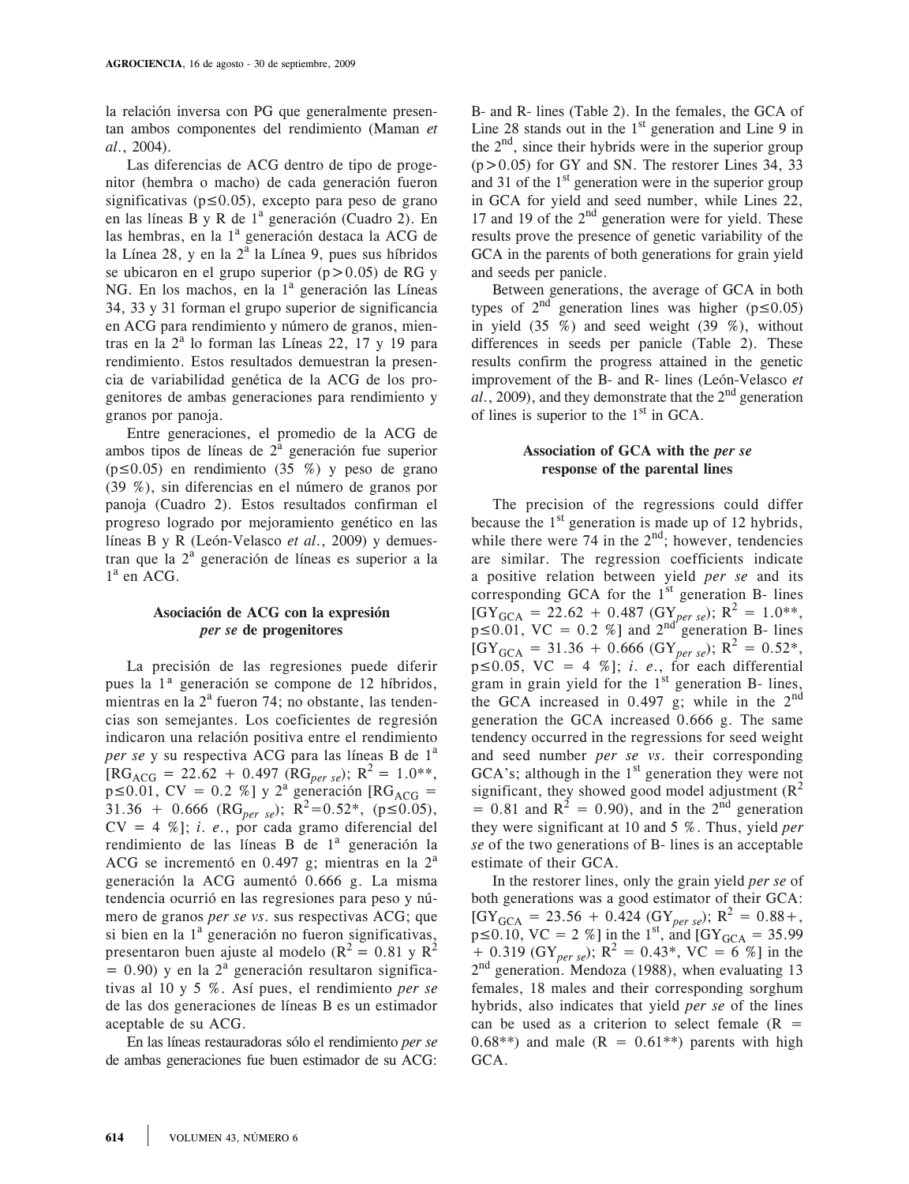la relación inversa con PG que generalmente presentan ambos componentes del rendimiento (Maman *et al*., 2004).

Las diferencias de ACG dentro de tipo de progenitor (hembra o macho) de cada generación fueron significativas ( $p \le 0.05$ ), excepto para peso de grano en las líneas B y R de 1<sup>a</sup> generación (Cuadro 2). En las hembras, en la 1<sup>a</sup> generación destaca la ACG de la Línea 28, y en la  $2^{\overline{a}}$  la Línea 9, pues sus híbridos se ubicaron en el grupo superior ( $p > 0.05$ ) de RG y NG. En los machos, en la 1<sup>ª</sup> generación las Líneas 34, 33 y 31 forman el grupo superior de significancia en ACG para rendimiento y número de granos, mientras en la  $2^a$  lo forman las Líneas 22, 17 y 19 para rendimiento. Estos resultados demuestran la presencia de variabilidad genética de la ACG de los progenitores de ambas generaciones para rendimiento y granos por panoja.

Entre generaciones, el promedio de la ACG de ambos tipos de líneas de  $2^{\hat{a}}$  generación fue superior  $(p \le 0.05)$  en rendimiento (35 %) y peso de grano (39 %), sin diferencias en el número de granos por panoja (Cuadro 2). Estos resultados confirman el progreso logrado por mejoramiento genético en las líneas B y R (León-Velasco *et al*., 2009) y demuestran que la 2<sup>ª</sup> generación de líneas es superior a la 1<sup>a</sup> en ACG.

### **Asociación de ACG con la expresión**  *per se* **de progenitores**

La precisión de las regresiones puede diferir pues la 1ª generación se compone de 12 híbridos, mientras en la  $2<sup>a</sup>$  fueron 74; no obstante, las tendencias son semejantes. Los coeficientes de regresión indicaron una relación positiva entre el rendimiento per se y su respectiva ACG para las líneas B de 1<sup>a</sup>  $\text{[RG}_{\text{ACG}} = 22.62 + 0.497 \text{ (RG}_{per \text{se}}); \text{ R}^2 = 1.0^{**},$  $p \le 0.01$ , CV = 0.2 %] y 2<sup>a</sup> generación [RG<sub>ACG</sub> =  $31.36 + 0.666$  (RG<sub>per se</sub>); R<sup>2</sup>=0.52\*, (p 10.05),  $CV = 4 \%$ ; *i. e.*, por cada gramo diferencial del rendimiento de las líneas B de 1<sup>ª</sup> generación la ACG se incrementó en 0.497 g; mientras en la  $2<sup>a</sup>$ generación la ACG aumentó 0.666 g. La misma tendencia ocurrió en las regresiones para peso y número de granos *per se vs*. sus respectivas ACG; que si bien en la  $1<sup>a</sup>$  generación no fueron significativas, presentaron buen ajuste al modelo ( $R^2 = 0.81$  y  $R^2$ )  $= 0.90$ ) y en la  $2<sup>a</sup>$  generación resultaron significativas al 10 y 5 %. Así pues, el rendimiento *per se* de las dos generaciones de líneas B es un estimador aceptable de su ACG.

En las líneas restauradoras sólo el rendimiento *per se*  de ambas generaciones fue buen estimador de su ACG:

B- and R- lines (Table 2). In the females, the GCA of Line 28 stands out in the  $1<sup>st</sup>$  generation and Line 9 in the  $2<sup>nd</sup>$ , since their hybrids were in the superior group  $(p>0.05)$  for GY and SN. The restorer Lines 34, 33 and 31 of the  $1<sup>st</sup>$  generation were in the superior group in GCA for yield and seed number, while Lines 22, 17 and 19 of the  $2<sup>nd</sup>$  generation were for yield. These results prove the presence of genetic variability of the GCA in the parents of both generations for grain yield and seeds per panicle.

Between generations, the average of GCA in both types of  $2^{nd}$  generation lines was higher (p $\leq 0.05$ ) in yield  $(35 \%)$  and seed weight  $(39 \%)$ , without differences in seeds per panicle (Table 2). These results confirm the progress attained in the genetic improvement of the B- and R- lines (León-Velasco *et*   $al., 2009$ , and they demonstrate that the  $2<sup>nd</sup>$  generation of lines is superior to the  $1<sup>st</sup>$  in GCA.

### **Association of GCA with the** *per se*  **response of the parental lines**

The precision of the regressions could differ because the  $1<sup>st</sup>$  generation is made up of 12 hybrids, while there were 74 in the  $2<sup>nd</sup>$ ; however, tendencies are similar. The regression coefficients indicate a positive relation between yield *per se* and its corresponding GCA for the  $1<sup>st</sup>$  generation B- lines  $[GY_{GCA} = 22.62 + 0.487 (GY_{per\,se})$ ;  $R^2 = 1.0**$ ,  $p \le 0.01$ , VC = 0.2 %] and  $2^{nd}$  generation B- lines  $\text{[GY}_{GCA} = 31.36 + 0.666 \text{ (GY}_{per \text{se}})$ ;  $\text{R}^2 = 0.52^*$ ,  $p \le 0.05$ , VC = 4 %]; *i. e.*, for each differential gram in grain yield for the  $1<sup>st</sup>$  generation B- lines, the GCA increased in 0.497 g; while in the  $2<sup>nd</sup>$ generation the GCA increased 0.666 g. The same tendency occurred in the regressions for seed weight and seed number *per se vs*. their corresponding GCA's; although in the  $1<sup>st</sup>$  generation they were not significant, they showed good model adjustment  $(R^2)$  $= 0.81$  and  $R^2 = 0.90$ , and in the 2<sup>nd</sup> generation they were significant at 10 and 5 %. Thus, yield *per se* of the two generations of B- lines is an acceptable estimate of their GCA.

In the restorer lines, only the grain yield *per se* of both generations was a good estimator of their GCA:  $\text{[GY}_{GCA} = 23.56 + 0.424 \text{ (GY}_{per \text{se}}); \text{ R}^2 = 0.88 + ,$  $p \le 0.10$ , VC = 2 %] in the 1<sup>st</sup>, and [GY<sub>GCA</sub> = 35.99 + 0.319 (GY<sub>per se</sub>); R<sup>2</sup> = 0.43<sup>\*</sup>, VC = 6 %] in the 2<sup>nd</sup> generation. Mendoza (1988), when evaluating 13 females, 18 males and their corresponding sorghum hybrids, also indicates that yield *per se* of the lines can be used as a criterion to select female  $(R =$  $0.68**$ ) and male (R =  $0.61**$ ) parents with high GCA.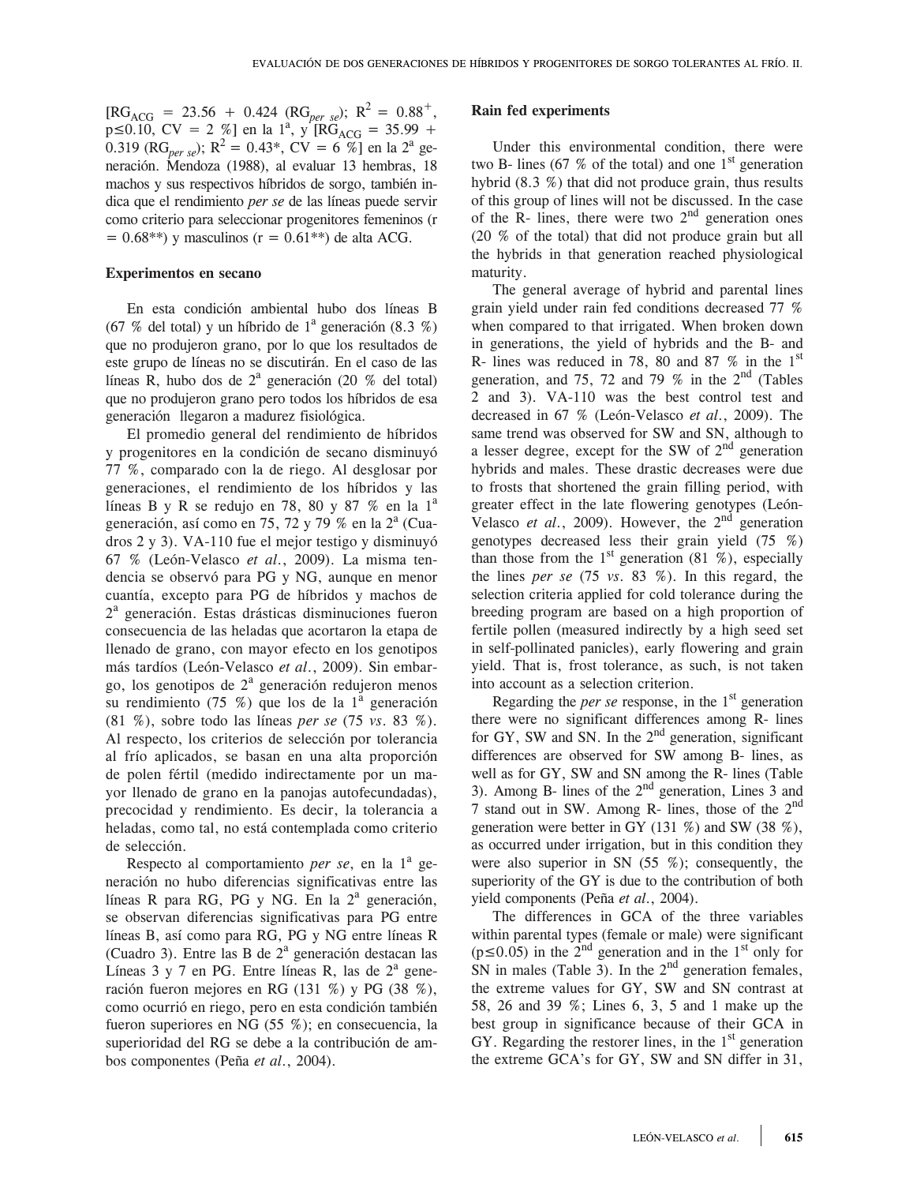$[RG_{ACG} = 23.56 + 0.424 (RG_{per\; se})$ ;  $R^2 = 0.88^+$ ,  $p \le 0.10$ , CV = 2 %] en la 1<sup>a</sup>, y RG<sub>ACG</sub> = 35.99 + 0.319 (RG<sub>per se</sub>);  $R^2 = 0.43^*$ , CV = 6 %] en la 2<sup>a</sup> generación. Mendoza (1988), al evaluar 13 hembras, 18 machos y sus respectivos híbridos de sorgo, también indica que el rendimiento *per se* de las líneas puede servir como criterio para seleccionar progenitores femeninos (r  $= 0.68$ <sup>\*\*</sup>) y masculinos (r = 0.61<sup>\*\*</sup>) de alta ACG.

#### **Experimentos en secano**

En esta condición ambiental hubo dos líneas B (67 % del total) y un híbrido de  $1^a$  generación (8.3 %) que no produjeron grano, por lo que los resultados de este grupo de líneas no se discutirán. En el caso de las líneas R, hubo dos de  $2^a$  generación (20 % del total) que no produjeron grano pero todos los híbridos de esa generación llegaron a madurez fisiológica.

El promedio general del rendimiento de híbridos y progenitores en la condición de secano disminuyó 77 %, comparado con la de riego. Al desglosar por generaciones, el rendimiento de los híbridos y las líneas B y R se redujo en 78, 80 y 87 % en la  $1<sup>a</sup>$ generación, así como en 75, 72 y 79 % en la 2<sup>a</sup> (Cuadros 2 y 3). VA-110 fue el mejor testigo y disminuyó 67 % (León-Velasco *et al*., 2009). La misma tendencia se observó para PG y NG, aunque en menor cuantía, excepto para PG de híbridos y machos de 2a generación. Estas drásticas disminuciones fueron consecuencia de las heladas que acortaron la etapa de llenado de grano, con mayor efecto en los genotipos más tardíos (León-Velasco *et al*., 2009). Sin embargo, los genotipos de  $2<sup>a</sup>$  generación redujeron menos su rendimiento  $(75\%)$  que los de la  $1^{\text{a}}$  generación (81 %), sobre todo las líneas *per se* (75 *vs*. 83 %). Al respecto, los criterios de selección por tolerancia al frío aplicados, se basan en una alta proporción de polen fértil (medido indirectamente por un mayor llenado de grano en la panojas autofecundadas), precocidad y rendimiento. Es decir, la tolerancia a heladas, como tal, no está contemplada como criterio de selección.

Respecto al comportamiento *per se*, en la 1<sup>a</sup> generación no hubo diferencias significativas entre las líneas R para RG, PG y NG. En la  $2^a$  generación, se observan diferencias significativas para PG entre líneas B, así como para RG, PG y NG entre líneas R (Cuadro 3). Entre las B de  $2<sup>a</sup>$  generación destacan las Líneas  $3 \text{ y } 7$  en PG. Entre líneas R, las de  $2^{\text{a}}$  generación fueron mejores en RG (131 %) y PG (38 %), como ocurrió en riego, pero en esta condición también fueron superiores en NG (55 %); en consecuencia, la superioridad del RG se debe a la contribución de ambos componentes (Peña *et al*., 2004).

#### **Rain fed experiments**

Under this environmental condition, there were two B- lines (67  $\%$  of the total) and one 1<sup>st</sup> generation hybrid (8.3 %) that did not produce grain, thus results of this group of lines will not be discussed. In the case of the R- lines, there were two  $2<sup>nd</sup>$  generation ones (20 % of the total) that did not produce grain but all the hybrids in that generation reached physiological maturity.

The general average of hybrid and parental lines grain yield under rain fed conditions decreased 77 % when compared to that irrigated. When broken down in generations, the yield of hybrids and the B- and R- lines was reduced in 78, 80 and 87  $%$  in the 1st generation, and 75, 72 and 79 % in the  $2<sup>nd</sup>$  (Tables 2 and 3). VA-110 was the best control test and decreased in 67 % (León-Velasco *et al*., 2009). The same trend was observed for SW and SN, although to a lesser degree, except for the SW of  $2<sup>nd</sup>$  generation hybrids and males. These drastic decreases were due to frosts that shortened the grain filling period, with greater effect in the late flowering genotypes (León-Velasco *et al*., 2009). However, the 2nd generation genotypes decreased less their grain yield (75 %) than those from the 1<sup>st</sup> generation (81 %), especially the lines *per se* (75 *vs*. 83 %). In this regard, the selection criteria applied for cold tolerance during the breeding program are based on a high proportion of fertile pollen (measured indirectly by a high seed set in self-pollinated panicles), early flowering and grain yield. That is, frost tolerance, as such, is not taken into account as a selection criterion.

Regarding the *per se* response, in the  $1<sup>st</sup>$  generation there were no significant differences among R- lines for GY, SW and SN. In the  $2<sup>nd</sup>$  generation, significant differences are observed for SW among B- lines, as well as for GY, SW and SN among the R- lines (Table 3). Among B- lines of the  $2<sup>nd</sup>$  generation, Lines 3 and 7 stand out in SW. Among R- lines, those of the 2nd generation were better in GY (131 %) and SW (38 %), as occurred under irrigation, but in this condition they were also superior in SN (55 %); consequently, the superiority of the GY is due to the contribution of both yield components (Peña *et al*., 2004).

The differences in GCA of the three variables within parental types (female or male) were significant  $(p \le 0.05)$  in the 2<sup>nd</sup> generation and in the 1<sup>st</sup> only for SN in males (Table 3). In the  $2<sup>nd</sup>$  generation females, the extreme values for GY, SW and SN contrast at 58, 26 and 39 %; Lines 6, 3, 5 and 1 make up the best group in significance because of their GCA in GY. Regarding the restorer lines, in the  $1<sup>st</sup>$  generation the extreme GCA's for GY, SW and SN differ in 31,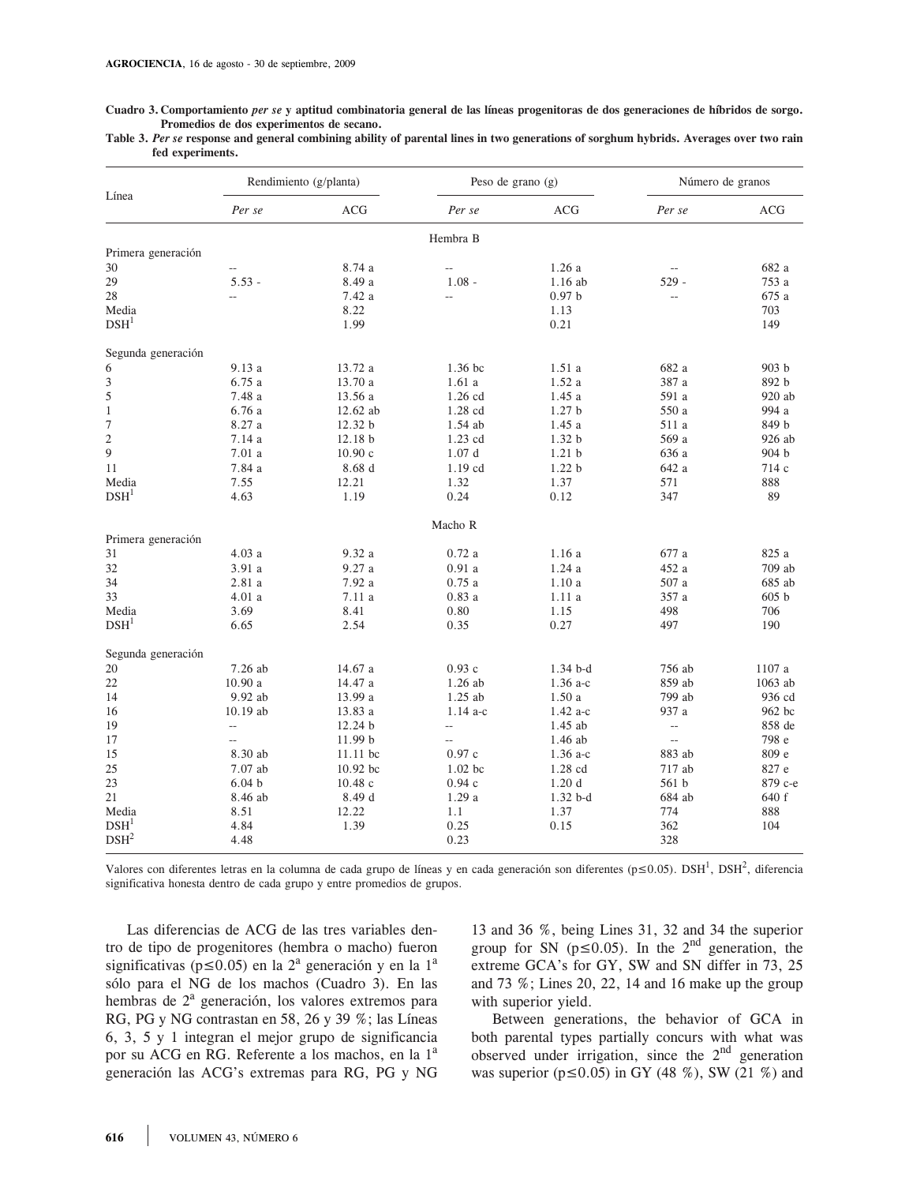**Cuadro 3. Comportamiento** *per se* **y aptitud combinatoria general de las líneas progenitoras de dos generaciones de híbridos de sorgo. Promedios de dos experimentos de secano.** 

|                  |  |  | Table 3. Per se response and general combining ability of parental lines in two generations of sorghum hybrids. Averages over two rain |
|------------------|--|--|----------------------------------------------------------------------------------------------------------------------------------------|
| fed experiments. |  |  |                                                                                                                                        |

|                           |                   | Rendimiento (g/planta) | Peso de grano (g)        |                   |                | Número de granos |
|---------------------------|-------------------|------------------------|--------------------------|-------------------|----------------|------------------|
| Línea                     | Per se            | <b>ACG</b>             | Per se                   | ACG               | Per se         | ACG              |
|                           |                   |                        | Hembra B                 |                   |                |                  |
| Primera generación        |                   |                        |                          |                   |                |                  |
| 30                        |                   | 8.74 a                 | $\overline{\phantom{a}}$ | 1.26a             |                | 682 a            |
| 29                        | $5.53 -$          | 8.49 a                 | $1.08 -$                 | $1.16$ ab         | $529 -$        | 753 a            |
| 28                        | --                | 7.42 a                 | $-$                      | $0.97\;{\rm b}$   |                | 675 a            |
| Media                     |                   | 8.22                   |                          | 1.13              |                | 703              |
| DSH <sup>1</sup>          |                   | 1.99                   |                          | 0.21              |                | 149              |
| Segunda generación        |                   |                        |                          |                   |                |                  |
| 6                         | 9.13 a            | 13.72 a                | 1.36 bc                  | 1.51a             | 682 a          | 903 <sub>b</sub> |
| 3                         | 6.75a             | 13.70 a                | 1.61a                    | 1.52a             | 387 a          | 892 b            |
| 5                         | 7.48 a            | 13.56 a                | 1.26 cd                  | 1.45a             | 591 a          | 920 ab           |
| $\mathbf{1}$              | 6.76a             | $12.62$ ab             | 1.28 cd                  | 1.27 <sub>b</sub> | 550 a          | 994 a            |
| $\overline{7}$            | 8.27a             | 12.32 b                | $1.54$ ab                | 1.45 a            | 511 a          | 849 b            |
| $\overline{c}$            | 7.14 a            | 12.18 b                | 1.23 cd                  | 1.32 b            | 569 a          | 926 ab           |
| 9                         | 7.01a             | 10.90c                 | 1.07d                    | 1.21 <sub>b</sub> | 636 a          | 904 b            |
| 11                        |                   | 8.68d                  | 1.19 cd                  | 1.22 <sub>b</sub> | 642 a          | 714 c            |
|                           | 7.84 a            |                        |                          |                   |                |                  |
| Media                     | 7.55              | 12.21                  | 1.32                     | 1.37              | 571            | 888              |
| DSH <sup>1</sup>          | 4.63              | 1.19                   | 0.24                     | 0.12              | 347            | 89               |
|                           |                   |                        | Macho R                  |                   |                |                  |
| Primera generación        |                   |                        |                          |                   |                |                  |
| 31                        | 4.03a             | 9.32a                  | 0.72a                    | 1.16a             | 677 a          | 825 a            |
| 32                        | 3.91 a            | 9.27a                  | 0.91a                    | 1.24a             | 452 a          | 709 ab           |
| 34                        | 2.81a             | 7.92 a                 | 0.75a                    | 1.10a             | 507 a          | 685 ab           |
| 33                        | 4.01a             | 7.11a                  | 0.83a                    | 1.11a             | 357 a          | 605 b            |
| Media                     | 3.69              | 8.41                   | 0.80                     | 1.15              | 498            | 706              |
| DSH <sup>1</sup>          | 6.65              | 2.54                   | 0.35                     | 0.27              | 497            | 190              |
| Segunda generación        |                   |                        |                          |                   |                |                  |
| 20                        | 7.26 ab           | 14.67 a                | 0.93c                    | $1.34b-d$         | 756 ab         | 1107 a           |
| 22                        | 10.90a            | 14.47 a                | 1.26 ab                  | $1.36$ a-c        | 859 ab         | 1063 ab          |
| 14                        | 9.92 ab           | 13.99 a                | 1.25 ab                  | 1.50a             | 799 ab         | 936 cd           |
| 16                        | 10.19 ab          | 13.83 a                | $1.14a-c$                | $1.42 a-c$        | 937 a          | 962 bc           |
| 19                        | $\sim$            | 12.24 b                | $\overline{a}$           | 1.45 ab           | $\overline{a}$ | 858 de           |
| 17                        | $\sim$            | 11.99 b                | $\overline{\phantom{a}}$ | 1.46 ab           | $\overline{a}$ | 798 e            |
| 15                        | 8.30 ab           | $11.11$ bc             | 0.97c                    | $1.36$ a-c        | 883 ab         | 809 e            |
| 25                        | 7.07 ab           | 10.92 bc               | $1.02$ bc                | 1.28 cd           | 717 ab         | 827 e            |
| 23                        | 6.04 <sub>b</sub> | 10.48c                 | 0.94c                    | 1.20d             | 561 b          | 879 с-е          |
| 21                        | 8.46 ab           | 8.49 d                 | 1.29a                    | $1.32b-d$         | 684 ab         | 640 f            |
|                           |                   |                        |                          |                   |                |                  |
| Media<br>DSH <sup>1</sup> | 8.51              | 12.22                  | 1.1                      | 1.37              | 774            | 888              |
|                           | 4.84              | 1.39                   | 0.25                     | 0.15              | 362            | 104              |
| DSH <sup>2</sup>          | 4.48              |                        | 0.23                     |                   | 328            |                  |

Valores con diferentes letras en la columna de cada grupo de líneas y en cada generación son diferentes ( $p \le 0.05$ ). DSH<sup>1</sup>, DSH<sup>2</sup>, diferencia significativa honesta dentro de cada grupo y entre promedios de grupos.

Las diferencias de ACG de las tres variables dentro de tipo de progenitores (hembra o macho) fueron significativas ( $p \le 0.05$ ) en la  $2^a$  generación y en la  $1^a$ sólo para el NG de los machos (Cuadro 3). En las hembras de 2<sup>ª</sup> generación, los valores extremos para RG, PG y NG contrastan en 58, 26 y 39 %; las Líneas 6, 3, 5 y 1 integran el mejor grupo de significancia por su ACG en RG. Referente a los machos, en la 1<sup>a</sup> generación las ACG's extremas para RG, PG y NG

13 and 36 %, being Lines 31, 32 and 34 the superior group for SN  $(p\leq 0.05)$ . In the  $2<sup>nd</sup>$  generation, the extreme GCA's for GY, SW and SN differ in 73, 25 and 73 %; Lines 20, 22, 14 and 16 make up the group with superior yield.

Between generations, the behavior of GCA in both parental types partially concurs with what was observed under irrigation, since the  $2<sup>nd</sup>$  generation was superior ( $p \le 0.05$ ) in GY (48 %), SW (21 %) and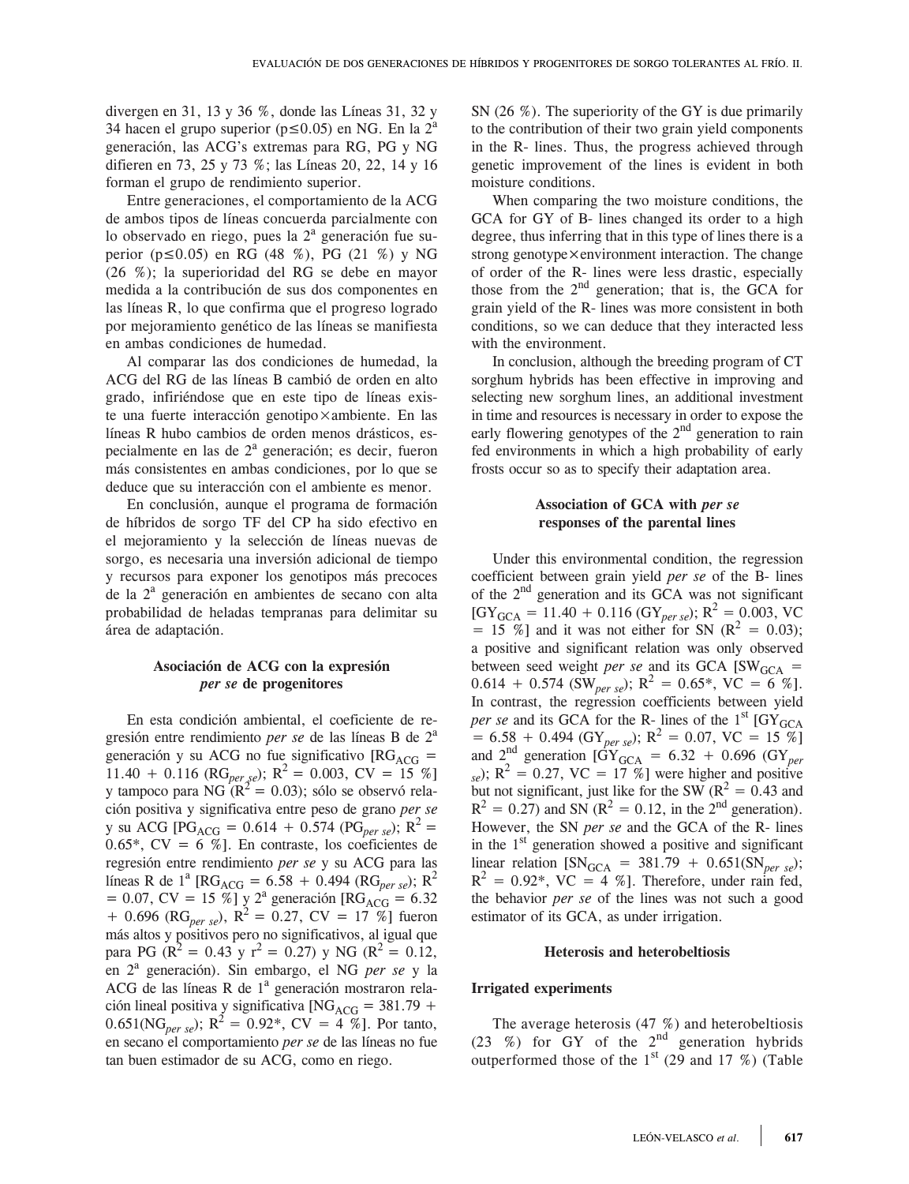divergen en 31, 13 y 36 %, donde las Líneas 31, 32 y 34 hacen el grupo superior ( $p \le 0.05$ ) en NG. En la  $2^a$ generación, las ACG's extremas para RG, PG y NG difieren en 73, 25 y 73 %; las Líneas 20, 22, 14 y 16 forman el grupo de rendimiento superior.

Entre generaciones, el comportamiento de la ACG de ambos tipos de líneas concuerda parcialmente con lo observado en riego, pues la 2<sup>ª</sup> generación fue superior ( $p \le 0.05$ ) en RG (48 %), PG (21 %) y NG (26 %); la superioridad del RG se debe en mayor medida a la contribución de sus dos componentes en las líneas R, lo que confirma que el progreso logrado por mejoramiento genético de las líneas se manifiesta en ambas condiciones de humedad.

Al comparar las dos condiciones de humedad, la ACG del RG de las líneas B cambió de orden en alto grado, infiriéndose que en este tipo de líneas existe una fuerte interacción genotipo×ambiente. En las líneas R hubo cambios de orden menos drásticos, especialmente en las de  $2<sup>a</sup>$  generación; es decir, fueron más consistentes en ambas condiciones, por lo que se deduce que su interacción con el ambiente es menor.

En conclusión, aunque el programa de formación de híbridos de sorgo TF del CP ha sido efectivo en el mejoramiento y la selección de líneas nuevas de sorgo, es necesaria una inversión adicional de tiempo y recursos para exponer los genotipos más precoces de la 2<sup>ª</sup> generación en ambientes de secano con alta probabilidad de heladas tempranas para delimitar su área de adaptación.

### **Asociación de ACG con la expresión**  *per se* **de progenitores**

En esta condición ambiental, el coeficiente de regresión entre rendimiento *per se* de las líneas B de 2a generación y su ACG no fue significativo  $[RG_{ACG} =$ 11.40 + 0.116 (RG<sub>per se</sub>); R<sup>2</sup> = 0.003, CV = 15 %] y tampoco para NG  $(R^2 = 0.03)$ ; sólo se observó relación positiva y significativa entre peso de grano *per se* y su ACG [PG<sub>ACG</sub> = 0.614 + 0.574 (PG<sub>per se</sub>); R<sup>2</sup> = 0.65\*,  $CV = 6 \%$ ]. En contraste, los coeficientes de regresión entre rendimiento *per se* y su ACG para las líneas R de 1<sup>a</sup> [RG<sub>ACG</sub> = 6.58 + 0.494 (RG<sub>per se</sub>); R<sup>2</sup> = 0.07, CV = 15 %] y 2<sup>a</sup> generación [RG<sub>ACG</sub> = 6.32 + 0.696 (RG<sub>per se</sub>),  $R^2 = 0.27$ , CV = 17 %] fueron más altos y positivos pero no significativos, al igual que para PG ( $R^2 = 0.43$  y  $r^2 = 0.27$ ) y NG ( $R^2 = 0.12$ , en 2a generación). Sin embargo, el NG *per se* y la ACG de las líneas R de 1<sup>ª</sup> generación mostraron relación lineal positiva y significativa [NG<sub>ACG</sub> = 381.79 +  $0.651(NG_{\text{per se}})$ ;  $R^2 = 0.92^*$ ,  $CV = 4\%$ ]. Por tanto, en secano el comportamiento *per se* de las líneas no fue tan buen estimador de su ACG, como en riego.

SN (26 %). The superiority of the GY is due primarily to the contribution of their two grain yield components in the R- lines. Thus, the progress achieved through genetic improvement of the lines is evident in both moisture conditions.

When comparing the two moisture conditions, the GCA for GY of B- lines changed its order to a high degree, thus inferring that in this type of lines there is a strong genotype $\times$ environment interaction. The change of order of the R- lines were less drastic, especially those from the  $2<sup>nd</sup>$  generation; that is, the GCA for grain yield of the R- lines was more consistent in both conditions, so we can deduce that they interacted less with the environment.

In conclusion, although the breeding program of CT sorghum hybrids has been effective in improving and selecting new sorghum lines, an additional investment in time and resources is necessary in order to expose the early flowering genotypes of the  $2<sup>nd</sup>$  generation to rain fed environments in which a high probability of early frosts occur so as to specify their adaptation area.

### **Association of GCA with** *per se*  **responses of the parental lines**

Under this environmental condition, the regression coefficient between grain yield *per se* of the B- lines of the 2<sup>nd</sup> generation and its GCA was not significant  $[GY_{GCA} = 11.40 + 0.116 (GY_{per se}); R^2 = 0.003, VC$  $= 15\%$ ] and it was not either for SN ( $R^2 = 0.03$ ); a positive and significant relation was only observed between seed weight *per se* and its GCA  $[SW_{GCA}$  = 0.614 + 0.574 (SW<sub>per se</sub>);  $R^2 = 0.65^*$ , VC = 6 %]. In contrast, the regression coefficients between yield *per se* and its GCA for the R- lines of the  $1<sup>st</sup>$  [GY<sub>GCA</sub>  $= 6.58 + 0.494$  (GY<sub>per se</sub>); R<sup>2</sup> = 0.07, VC = 15 %] and  $2^{nd}$  generation  $[GY_{GCA} = 6.32 + 0.696 (GY_{per}$  $s_e$ ); R<sup>2</sup> = 0.27, VC = 17 %] were higher and positive but not significant, just like for the SW  $(R^2 = 0.43$  and  $R^2 = 0.27$ ) and SN ( $R^2 = 0.12$ , in the 2<sup>nd</sup> generation). However, the SN *per se* and the GCA of the R- lines in the  $1<sup>st</sup>$  generation showed a positive and significant linear relation  $[SN_{GCA} = 381.79 + 0.651(SN_{per se})$ ;  $R^2 = 0.92^*$ , VC = 4 %]. Therefore, under rain fed, the behavior *per se* of the lines was not such a good estimator of its GCA, as under irrigation.

#### **Heterosis and heterobeltiosis**

#### **Irrigated experiments**

The average heterosis (47 %) and heterobeltiosis  $(23 \%)$  for GY of the  $2<sup>nd</sup>$  generation hybrids outperformed those of the  $1<sup>st</sup>$  (29 and 17 %) (Table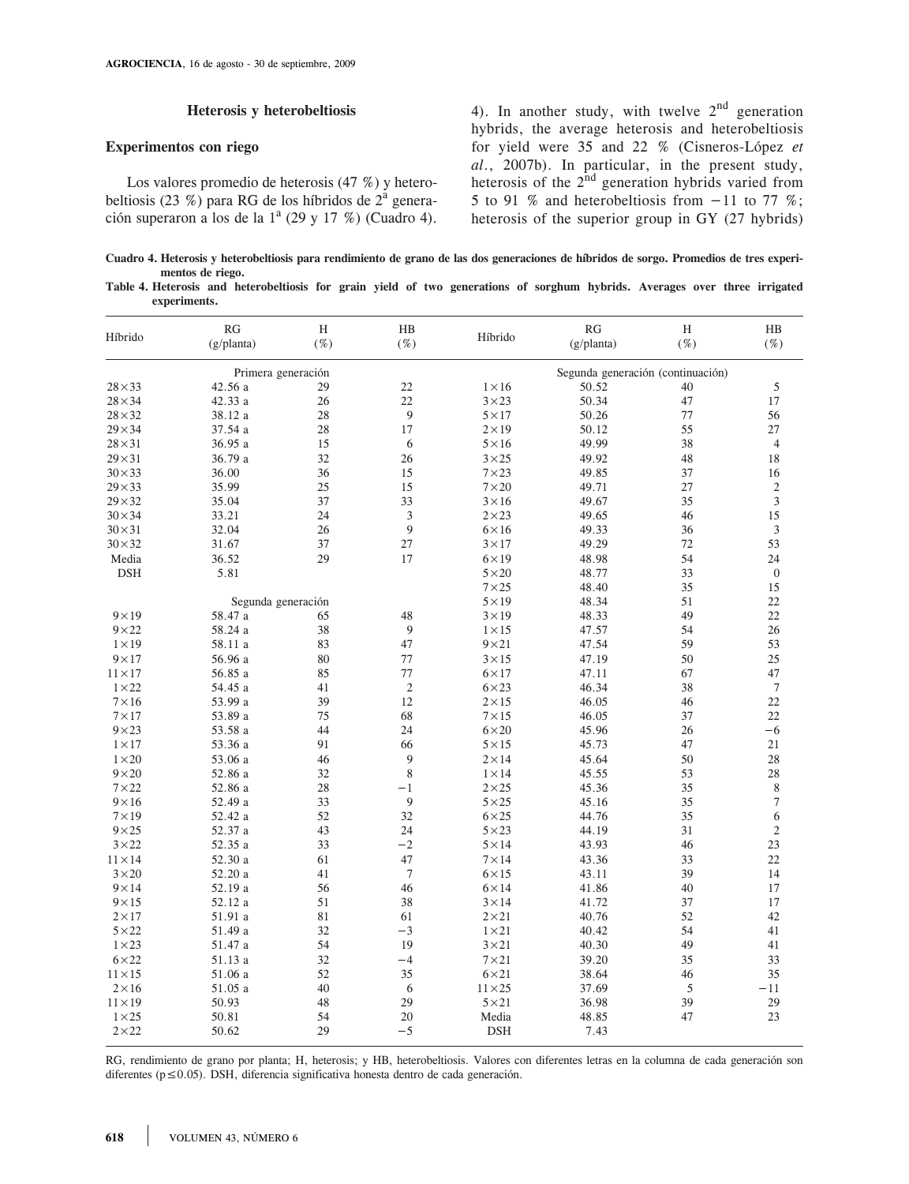### **Heterosis y heterobeltiosis**

#### **Experimentos con riego**

Los valores promedio de heterosis (47 %) y heterobeltiosis (23 %) para RG de los híbridos de  $2^{\alpha}$  generación superaron a los de la  $1^a$  (29 y 17 %) (Cuadro 4). 4). In another study, with twelve  $2<sup>nd</sup>$  generation hybrids, the average heterosis and heterobeltiosis for yield were 35 and 22 % (Cisneros-López *et al*., 2007b). In particular, in the present study, heterosis of the  $2<sup>nd</sup>$  generation hybrids varied from 5 to 91 % and heterobeltiosis from  $-11$  to 77 %; heterosis of the superior group in GY (27 hybrids)

**Cuadro 4. Heterosis y heterobeltiosis para rendimiento de grano de las dos generaciones de híbridos de sorgo. Promedios de tres experimentos de riego.**

| Table 4. Heterosis and heterobeltiosis for grain yield of two generations of sorghum hybrids. Averages over three irrigated |  |  |  |  |  |  |  |  |
|-----------------------------------------------------------------------------------------------------------------------------|--|--|--|--|--|--|--|--|
| experiments.                                                                                                                |  |  |  |  |  |  |  |  |

| Híbrido        | <b>RG</b><br>(g/planta) | H<br>$(\%)$ | HB<br>$(\%)$   | Híbrido        | RG<br>(g/planta)                  | H<br>$(\%)$ | $_{\rm HB}$<br>$(\%)$ |
|----------------|-------------------------|-------------|----------------|----------------|-----------------------------------|-------------|-----------------------|
|                | Primera generación      |             |                |                | Segunda generación (continuación) |             |                       |
| $28\times33$   | 42.56a                  | 29          | 22             | $1 \times 16$  | 50.52                             | 40          | 5                     |
| $28\times34$   | 42.33 a                 | 26          | 22             | $3\times23$    | 50.34                             | 47          | 17                    |
| $28\times32$   | 38.12 a                 | 28          | 9              | $5 \times 17$  | 50.26                             | 77          | 56                    |
| $29 \times 34$ | 37.54 a                 | 28          | 17             | $2 \times 19$  | 50.12                             | 55          | 27                    |
| $28 \times 31$ | 36.95 a                 | 15          | 6              | $5\times16$    | 49.99                             | 38          | $\overline{4}$        |
| $29 \times 31$ | 36.79 a                 | 32          | 26             | $3\times25$    | 49.92                             | 48          | 18                    |
| $30 \times 33$ | 36.00                   | 36          | 15             | $7\times23$    | 49.85                             | 37          | 16                    |
| $29 \times 33$ | 35.99                   | 25          | 15             | $7\times20$    | 49.71                             | 27          | $\overline{c}$        |
| $29 \times 32$ | 35.04                   | 37          | 33             | $3 \times 16$  | 49.67                             | 35          | 3                     |
| $30 \times 34$ | 33.21                   | 24          | $\mathfrak{Z}$ | $2\times23$    | 49.65                             | 46          | 15                    |
| $30 \times 31$ | 32.04                   | 26          | 9              | $6\times16$    | 49.33                             | 36          | $\mathfrak z$         |
| $30 \times 32$ | 31.67                   | 37          | 27             | $3\times17$    | 49.29                             | 72          | 53                    |
| Media          | 36.52                   | 29          | 17             | $6 \times 19$  | 48.98                             | 54          | 24                    |
| <b>DSH</b>     | 5.81                    |             |                | $5\times20$    | 48.77                             | 33          | $\boldsymbol{0}$      |
|                |                         |             |                | $7\times25$    | 48.40                             | 35          | 15                    |
|                | Segunda generación      |             |                | $5 \times 19$  | 48.34                             | 51          | 22                    |
| $9 \times 19$  | 58.47 a                 | 65          | 48             | $3 \times 19$  | 48.33                             | 49          | 22                    |
| $9\times22$    | 58.24 a                 | 38          | 9              | $1 \times 15$  | 47.57                             | 54          | 26                    |
| $1 \times 19$  | 58.11 a                 | 83          | 47             | $9\times21$    | 47.54                             | 59          | 53                    |
| $9\times17$    | 56.96 a                 | 80          | 77             | $3 \times 15$  | 47.19                             | 50          | 25                    |
| $11 \times 17$ | 56.85 a                 | 85          | 77             | $6\times17$    | 47.11                             | 67          | 47                    |
| $1\times22$    | 54.45 a                 | 41          | $\overline{2}$ | $6\times23$    | 46.34                             | 38          | $\overline{7}$        |
| $7\times16$    | 53.99 a                 | 39          | 12             | $2 \times 15$  | 46.05                             | 46          | 22                    |
| $7\times17$    | 53.89 a                 | 75          | 68             | $7\times15$    | 46.05                             | 37          | 22                    |
| $9 \times 23$  | 53.58 a                 | 44          | 24             | $6\times20$    | 45.96                             | 26          | $-6$                  |
| $1 \times 17$  | 53.36 a                 | 91          | 66             | $5 \times 15$  | 45.73                             | 47          | 21                    |
| $1\times20$    | 53.06 a                 | 46          | 9              | $2\times14$    | 45.64                             | 50          | 28                    |
| $9\times20$    | 52.86 a                 | 32          | 8              | $1 \times 14$  | 45.55                             | 53          | 28                    |
| $7\times22$    | 52.86 a                 | 28          | $^{-1}$        | $2\times25$    | 45.36                             | 35          | 8                     |
| $9 \times 16$  | 52.49 a                 | 33          | 9              | $5\times25$    | 45.16                             | 35          | $\tau$                |
| $7\times19$    | 52.42 a                 | 52          | 32             | $6\times25$    | 44.76                             | 35          | 6                     |
| $9\times25$    | 52.37 a                 | 43          | 24             | $5 \times 23$  | 44.19                             | 31          | $\overline{c}$        |
| $3\times22$    | 52.35 a                 | 33          | $-2$           | $5 \times 14$  | 43.93                             | 46          | 23                    |
| $11 \times 14$ | 52.30 a                 | 61          | 47             | $7\times14$    | 43.36                             | 33          | 22                    |
| $3\times20$    | 52.20 a                 | 41          | $\overline{7}$ | $6 \times 15$  | 43.11                             | 39          | 14                    |
| $9 \times 14$  | 52.19 a                 | 56          | 46             | $6\times14$    | 41.86                             | 40          | 17                    |
| $9 \times 15$  | 52.12 a                 | 51          | 38             | $3 \times 14$  | 41.72                             | 37          | 17                    |
| $2\times17$    | 51.91 a                 | 81          | 61             | $2\times21$    | 40.76                             | 52          | 42                    |
| $5 \times 22$  | 51.49 a                 | 32          | $-3$           | $1\times21$    | 40.42                             | 54          | 41                    |
| $1\times23$    | 51.47 a                 | 54          | 19             | $3\times21$    | 40.30                             | 49          | 41                    |
| $6\times22$    | 51.13 a                 | 32          | $-4$           | $7\times21$    | 39.20                             | 35          | 33                    |
| $11 \times 15$ | 51.06 a                 | 52          | 35             | $6\times21$    | 38.64                             | 46          | 35                    |
| $2 \times 16$  | 51.05 a                 | 40          | 6              | $11 \times 25$ | 37.69                             | 5           | $-11$                 |
| $11 \times 19$ | 50.93                   | 48          | 29             | $5 \times 21$  | 36.98                             | 39          | 29                    |
| $1 \times 25$  | 50.81                   | 54          | 20             | Media          | 48.85                             | 47          | 23                    |
| $2\times22$    | 50.62                   | 29          | $-5$           | <b>DSH</b>     | 7.43                              |             |                       |

RG, rendimiento de grano por planta; H, heterosis; y HB, heterobeltiosis. Valores con diferentes letras en la columna de cada generación son diferentes (p≤0.05). DSH, diferencia significativa honesta dentro de cada generación.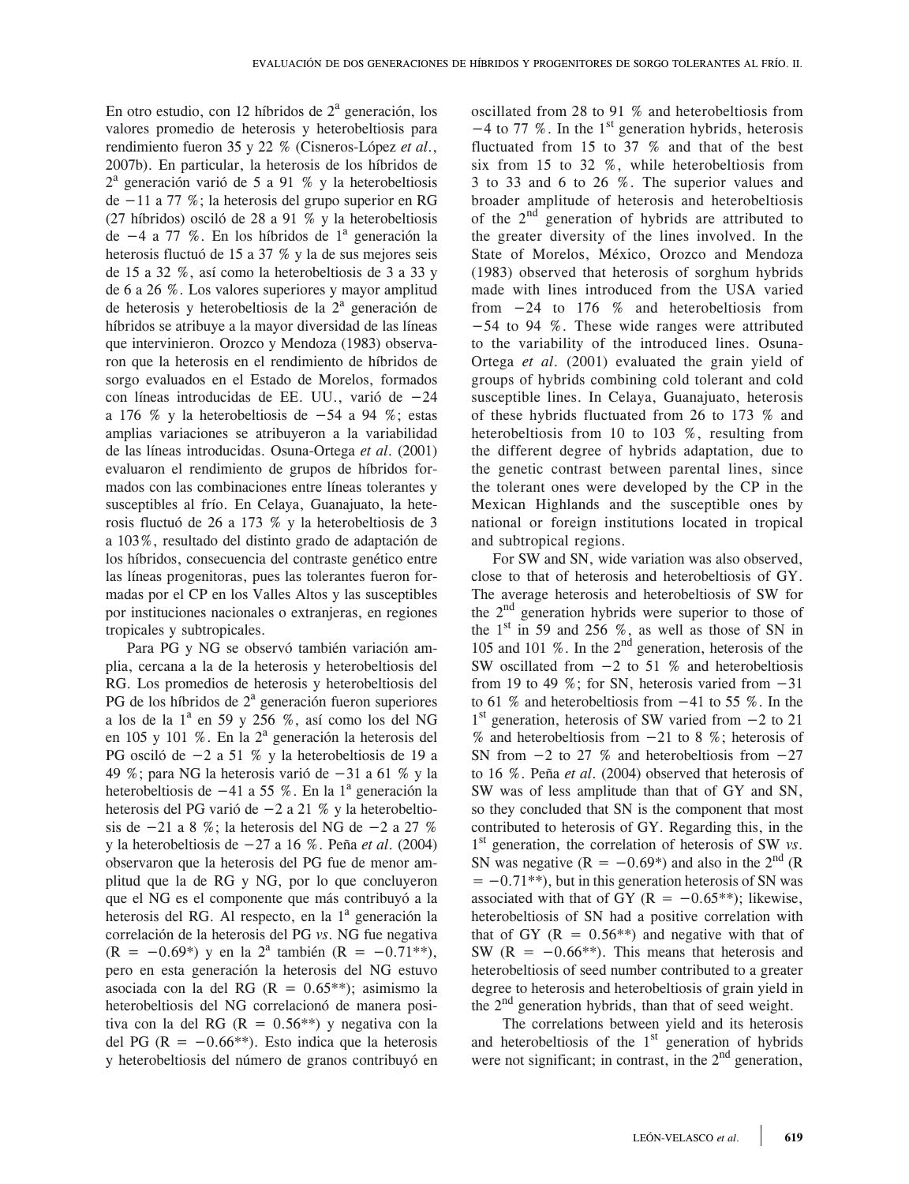En otro estudio, con 12 híbridos de  $2<sup>a</sup>$  generación, los valores promedio de heterosis y heterobeltiosis para rendimiento fueron 35 y 22 % (Cisneros-López *et al*., 2007b). En particular, la heterosis de los híbridos de 2a generación varió de 5 a 91 % y la heterobeltiosis de  $-11$  a 77 %; la heterosis del grupo superior en RG (27 híbridos) osciló de 28 a 91 % y la heterobeltiosis de  $-4$  a 77 %. En los híbridos de  $1^a$  generación la heterosis fluctuó de 15 a 37 % y la de sus mejores seis de 15 a 32 %, así como la heterobeltiosis de 3 a 33 y de 6 a 26 %. Los valores superiores y mayor amplitud de heterosis y heterobeltiosis de la  $2<sup>a</sup>$  generación de híbridos se atribuye a la mayor diversidad de las líneas que intervinieron. Orozco y Mendoza (1983) observaron que la heterosis en el rendimiento de híbridos de sorgo evaluados en el Estado de Morelos, formados con líneas introducidas de EE. UU., varió de  $-24$ a 176 % y la heterobeltiosis de  $-54$  a 94 %; estas amplias variaciones se atribuyeron a la variabilidad de las líneas introducidas. Osuna-Ortega *et al*. (2001) evaluaron el rendimiento de grupos de híbridos formados con las combinaciones entre líneas tolerantes y susceptibles al frío. En Celaya, Guanajuato, la heterosis fluctuó de 26 a 173 % y la heterobeltiosis de 3 a 103%, resultado del distinto grado de adaptación de los híbridos, consecuencia del contraste genético entre las líneas progenitoras, pues las tolerantes fueron formadas por el CP en los Valles Altos y las susceptibles por instituciones nacionales o extranjeras, en regiones tropicales y subtropicales.

Para PG y NG se observó también variación amplia, cercana a la de la heterosis y heterobeltiosis del RG. Los promedios de heterosis y heterobeltiosis del PG de los híbridos de  $2<sup>a</sup>$  generación fueron superiores a los de la  $1^a$  en 59 y 256 %, así como los del NG en 105 y 101 %. En la  $2^a$  generación la heterosis del PG osciló de  $-2$  a 51 % y la heterobeltiosis de 19 a 49 %; para NG la heterosis varió de  $-31$  a 61 % y la heterobeltiosis de  $-41$  a 55 %. En la  $1^a$  generación la heterosis del PG varió de  $-2$  a 21 % y la heterobeltiosis de  $-21$  a 8 %; la heterosis del NG de  $-2$  a 27 % y la heterobeltiosis de 27 a 16 %. Peña *et al*. (2004) observaron que la heterosis del PG fue de menor amplitud que la de RG y NG, por lo que concluyeron que el NG es el componente que más contribuyó a la heterosis del RG. Al respecto, en la 1<sup>ª</sup> generación la correlación de la heterosis del PG *vs*. NG fue negativa  $(R = -0.69*)$  y en la  $2^a$  también  $(R = -0.71**)$ , pero en esta generación la heterosis del NG estuvo asociada con la del RG ( $R = 0.65**$ ); asimismo la heterobeltiosis del NG correlacionó de manera positiva con la del RG ( $R = 0.56**$ ) y negativa con la del PG ( $R = -0.66**$ ). Esto indica que la heterosis y heterobeltiosis del número de granos contribuyó en

oscillated from 28 to 91 % and heterobeltiosis from  $-4$  to 77 %. In the 1<sup>st</sup> generation hybrids, heterosis fluctuated from 15 to 37 % and that of the best six from 15 to 32 %, while heterobeltiosis from 3 to 33 and 6 to 26 %. The superior values and broader amplitude of heterosis and heterobeltiosis of the  $2<sup>nd</sup>$  generation of hybrids are attributed to the greater diversity of the lines involved. In the State of Morelos, México, Orozco and Mendoza (1983) observed that heterosis of sorghum hybrids made with lines introduced from the USA varied from  $-24$  to 176 % and heterobeltiosis from  $-54$  to 94 %. These wide ranges were attributed to the variability of the introduced lines. Osuna-Ortega *et al*. (2001) evaluated the grain yield of groups of hybrids combining cold tolerant and cold susceptible lines. In Celaya, Guanajuato, heterosis of these hybrids fluctuated from 26 to 173 % and heterobeltiosis from 10 to 103 %, resulting from the different degree of hybrids adaptation, due to the genetic contrast between parental lines, since the tolerant ones were developed by the CP in the Mexican Highlands and the susceptible ones by national or foreign institutions located in tropical and subtropical regions.

For SW and SN, wide variation was also observed, close to that of heterosis and heterobeltiosis of GY. The average heterosis and heterobeltiosis of SW for the 2nd generation hybrids were superior to those of the  $1<sup>st</sup>$  in 59 and 256 %, as well as those of SN in 105 and 101 %. In the  $2<sup>nd</sup>$  generation, heterosis of the SW oscillated from  $-2$  to 51 % and heterobeltiosis from 19 to 49 %; for SN, heterosis varied from  $-31$ to 61 % and heterobeltiosis from  $-41$  to 55 %. In the  $1<sup>st</sup>$  generation, heterosis of SW varied from  $-2$  to 21 % and heterobeltiosis from  $-21$  to 8 %; heterosis of SN from  $-2$  to 27 % and heterobeltiosis from  $-27$ to 16 %. Peña *et al*. (2004) observed that heterosis of SW was of less amplitude than that of GY and SN, so they concluded that SN is the component that most contributed to heterosis of GY. Regarding this, in the 1st generation, the correlation of heterosis of SW *vs*. SN was negative ( $R = -0.69^*$ ) and also in the 2<sup>nd</sup> (R)  $= -0.71$ <sup>\*\*</sup>), but in this generation heterosis of SN was associated with that of GY ( $R = -0.65**$ ); likewise, heterobeltiosis of SN had a positive correlation with that of GY  $(R = 0.56**)$  and negative with that of SW  $(R = -0.66**)$ . This means that heterosis and heterobeltiosis of seed number contributed to a greater degree to heterosis and heterobeltiosis of grain yield in the  $2<sup>nd</sup>$  generation hybrids, than that of seed weight.

 The correlations between yield and its heterosis and heterobeltiosis of the  $1<sup>st</sup>$  generation of hybrids were not significant; in contrast, in the  $2<sup>nd</sup>$  generation,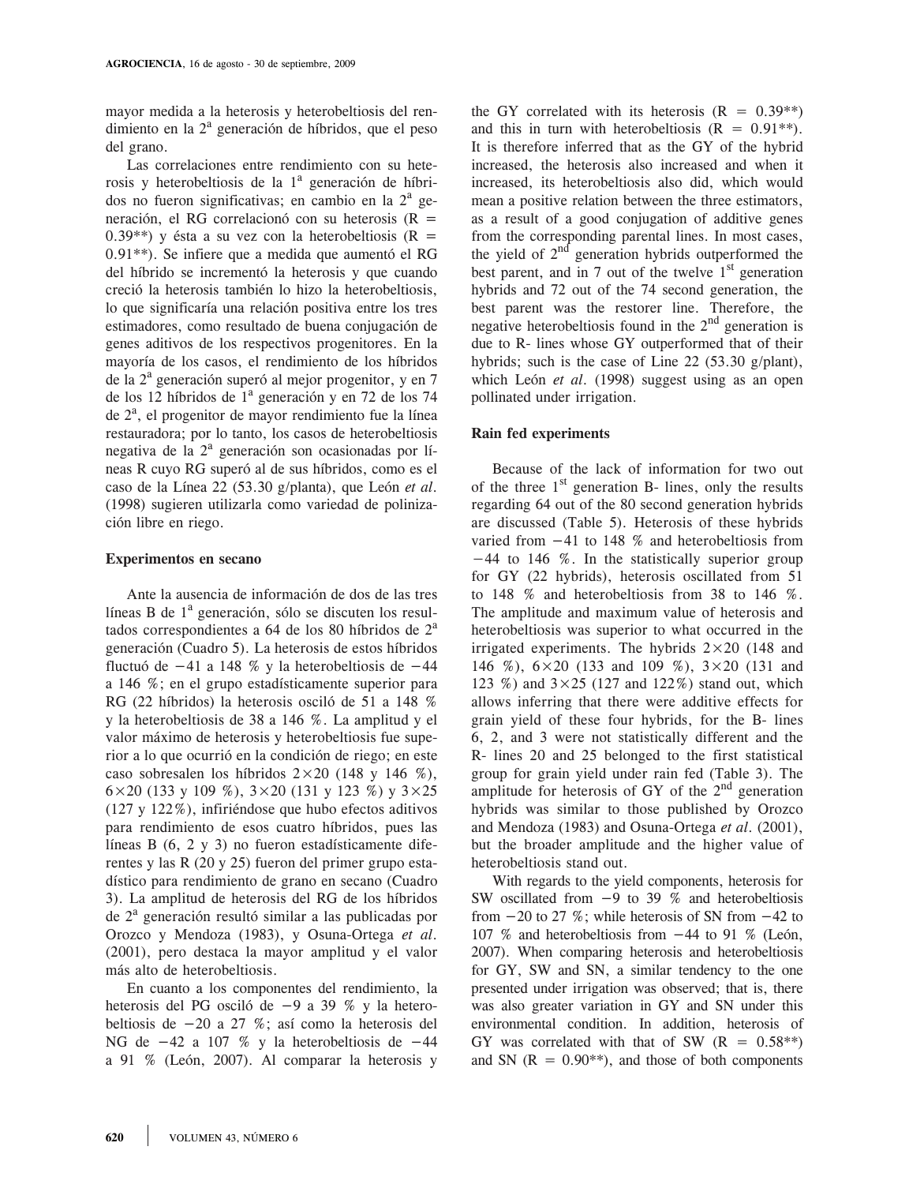mayor medida a la heterosis y heterobeltiosis del rendimiento en la 2<sup>ª</sup> generación de híbridos, que el peso del grano.

Las correlaciones entre rendimiento con su heterosis y heterobeltiosis de la 1<sup>ª</sup> generación de híbridos no fueron significativas; en cambio en la  $2^a$  generación, el RG correlacionó con su heterosis (R 0.39<sup>\*\*</sup>) y ésta a su vez con la heterobeltiosis ( $R =$ 0.91\*\*). Se infiere que a medida que aumentó el RG del híbrido se incrementó la heterosis y que cuando creció la heterosis también lo hizo la heterobeltiosis, lo que significaría una relación positiva entre los tres estimadores, como resultado de buena conjugación de genes aditivos de los respectivos progenitores. En la mayoría de los casos, el rendimiento de los híbridos de la 2<sup>a</sup> generación superó al mejor progenitor, y en 7 de los 12 híbridos de 1<sup>a</sup> generación y en 72 de los 74 de 2<sup>a</sup>, el progenitor de mayor rendimiento fue la línea restauradora; por lo tanto, los casos de heterobeltiosis negativa de la 2<sup>ª</sup> generación son ocasionadas por líneas R cuyo RG superó al de sus híbridos, como es el caso de la Línea 22 (53.30 g/planta), que León *et al*. (1998) sugieren utilizarla como variedad de polinización libre en riego.

#### **Experimentos en secano**

Ante la ausencia de información de dos de las tres líneas B de  $1<sup>a</sup>$  generación, sólo se discuten los resultados correspondientes a 64 de los 80 híbridos de  $2<sup>a</sup>$ generación (Cuadro 5). La heterosis de estos híbridos fluctuó de  $-41$  a 148 % y la heterobeltiosis de  $-44$ a 146 %; en el grupo estadísticamente superior para RG (22 híbridos) la heterosis osciló de 51 a 148 % y la heterobeltiosis de 38 a 146 %. La amplitud y el valor máximo de heterosis y heterobeltiosis fue superior a lo que ocurrió en la condición de riego; en este caso sobresalen los híbridos  $2 \times 20$  (148 y 146 %),  $6\times20$  (133 y 109 %),  $3\times20$  (131 y 123 %) y  $3\times25$ (127 y 122%), infiriéndose que hubo efectos aditivos para rendimiento de esos cuatro híbridos, pues las líneas B (6, 2 y 3) no fueron estadísticamente diferentes y las R (20 y 25) fueron del primer grupo estadístico para rendimiento de grano en secano (Cuadro 3). La amplitud de heterosis del RG de los híbridos de 2<sup>ª</sup> generación resultó similar a las publicadas por Orozco y Mendoza (1983), y Osuna-Ortega *et al*. (2001), pero destaca la mayor amplitud y el valor más alto de heterobeltiosis.

En cuanto a los componentes del rendimiento, la heterosis del PG osciló de  $-9$  a 39 % y la heterobeltiosis de  $-20$  a 27 %; así como la heterosis del NG de  $-42$  a 107 % y la heterobeltiosis de  $-44$ a 91 % (León, 2007). Al comparar la heterosis y

the GY correlated with its heterosis  $(R = 0.39**)$ and this in turn with heterobeltiosis  $(R = 0.91**)$ . It is therefore inferred that as the GY of the hybrid increased, the heterosis also increased and when it increased, its heterobeltiosis also did, which would mean a positive relation between the three estimators, as a result of a good conjugation of additive genes from the corresponding parental lines. In most cases, the yield of  $2<sup>nd</sup>$  generation hybrids outperformed the best parent, and in 7 out of the twelve  $1<sup>st</sup>$  generation hybrids and 72 out of the 74 second generation, the best parent was the restorer line. Therefore, the negative heterobeltiosis found in the  $2<sup>nd</sup>$  generation is due to R- lines whose GY outperformed that of their hybrids; such is the case of Line 22 (53.30 g/plant), which León *et al*. (1998) suggest using as an open pollinated under irrigation.

#### **Rain fed experiments**

Because of the lack of information for two out of the three  $1<sup>st</sup>$  generation B- lines, only the results regarding 64 out of the 80 second generation hybrids are discussed (Table 5). Heterosis of these hybrids varied from  $-41$  to 148 % and heterobeltiosis from −44 to 146 %. In the statistically superior group for GY (22 hybrids), heterosis oscillated from 51 to 148 % and heterobeltiosis from 38 to 146 %. The amplitude and maximum value of heterosis and heterobeltiosis was superior to what occurred in the irrigated experiments. The hybrids  $2 \times 20$  (148 and 146 %), 6×20 (133 and 109 %), 3×20 (131 and 123 %) and  $3 \times 25$  (127 and 122%) stand out, which allows inferring that there were additive effects for grain yield of these four hybrids, for the B- lines 6, 2, and 3 were not statistically different and the R- lines 20 and 25 belonged to the first statistical group for grain yield under rain fed (Table 3). The amplitude for heterosis of GY of the  $2<sup>nd</sup>$  generation hybrids was similar to those published by Orozco and Mendoza (1983) and Osuna-Ortega *et al*. (2001), but the broader amplitude and the higher value of heterobeltiosis stand out.

With regards to the yield components, heterosis for SW oscillated from  $-9$  to 39 % and heterobeltiosis from  $-20$  to 27 %; while heterosis of SN from  $-42$  to 107 % and heterobeltiosis from  $-44$  to 91 % (León, 2007). When comparing heterosis and heterobeltiosis for GY, SW and SN, a similar tendency to the one presented under irrigation was observed; that is, there was also greater variation in GY and SN under this environmental condition. In addition, heterosis of GY was correlated with that of SW  $(R = 0.58**)$ and SN  $(R = 0.90^{**})$ , and those of both components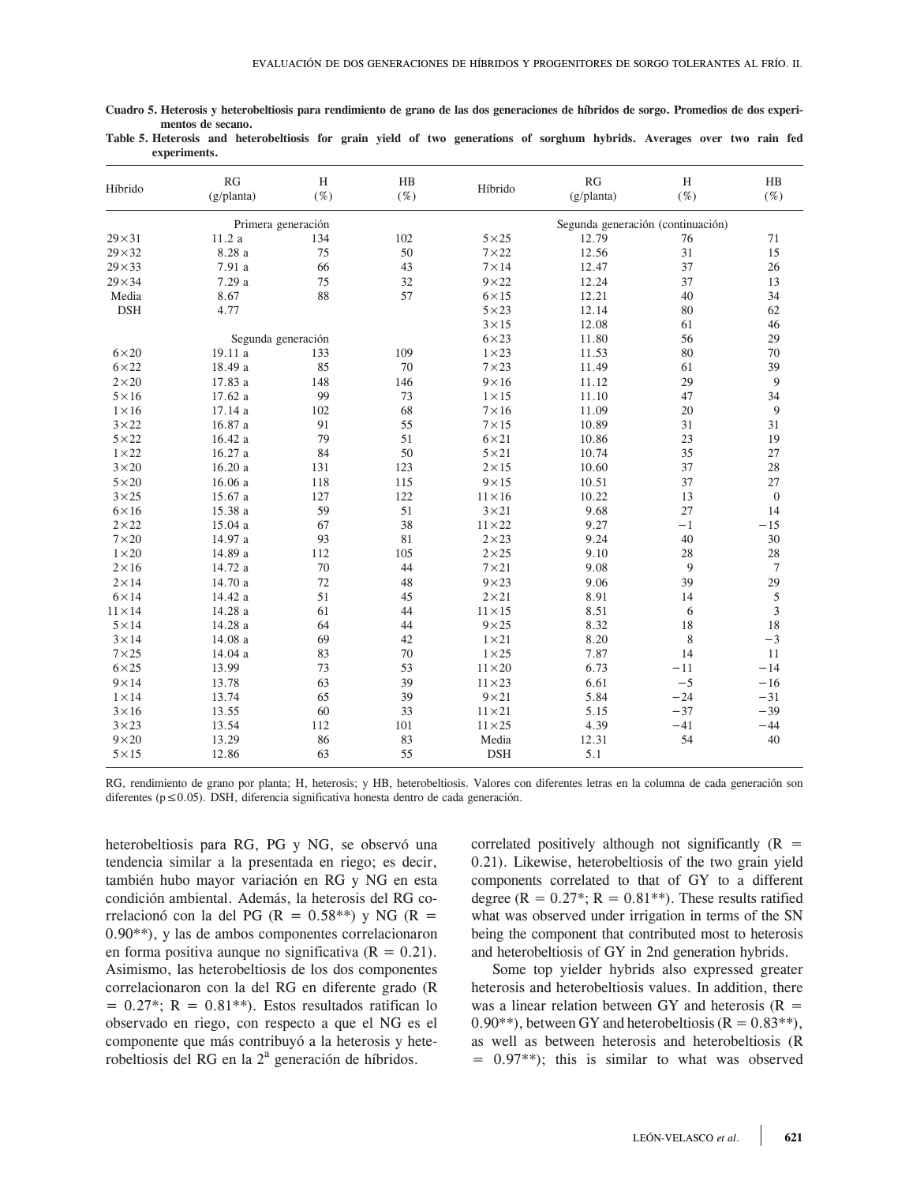| RG<br>H<br>HB<br>RG<br>$\rm H$<br>Híbrido<br>Híbrido<br>$(\%)$<br>$(\%)$<br>(g/planta)<br>$(\%)$<br>(g/planta)<br>Primera generación<br>Segunda generación (continuación)<br>102<br>12.79<br>$29 \times 31$<br>11.2a<br>134<br>$5\times25$<br>76<br>8.28 a<br>75<br>50<br>12.56<br>31<br>$29 \times 32$<br>$7\times22$<br>7.91 a<br>66<br>43<br>$7\times14$<br>37<br>$29 \times 33$<br>12.47<br>$29 \times 34$<br>7.29 a<br>75<br>32<br>$9\times22$<br>12.24<br>37<br>8.67<br>88<br>57<br>40<br>Media<br>$6 \times 15$<br>12.21<br><b>DSH</b><br>4.77<br>$5 \times 23$<br>12.14<br>80<br>$3 \times 15$<br>12.08<br>61<br>$6\times23$<br>56<br>Segunda generación<br>11.80<br>109<br>$1\times23$<br>80<br>$6\times20$<br>19.11 a<br>133<br>11.53<br>18.49 a<br>85<br>70<br>$7\times23$<br>$6\times22$<br>11.49<br>61<br>17.83 a<br>148<br>146<br>$9\times16$<br>29<br>$2\times20$<br>11.12<br>99<br>73<br>$5 \times 16$<br>17.62 a<br>$1 \times 15$<br>11.10<br>47<br>68<br>102<br>$7\times16$<br>20<br>$1\times 16$<br>17.14a<br>11.09<br>55<br>31<br>$3\times22$<br>16.87 a<br>91<br>$7 \times 15$<br>10.89<br>79<br>$5 \times 22$<br>51<br>$6\times21$<br>23<br>16.42 a<br>10.86<br>50<br>16.27 a<br>84<br>$5 \times 21$<br>10.74<br>35<br>$1\times22$<br>$3\times20$<br>16.20a<br>123<br>$2\times15$<br>10.60<br>37<br>131<br>$9 \times 15$<br>37<br>$5\times20$<br>16.06a<br>118<br>115<br>10.51<br>$3\times25$<br>15.67 a<br>127<br>122<br>$11 \times 16$<br>10.22<br>13<br>59<br>27<br>$6\times16$<br>15.38 a<br>51<br>$3 \times 21$<br>9.68<br>67<br>38<br>9.27<br>$2\times22$<br>15.04 a<br>$11 \times 22$<br>$^{-1}$<br>81<br>$7\times20$<br>14.97 a<br>93<br>$2\times23$<br>9.24<br>40<br>$1\times20$<br>14.89 a<br>$2\times25$<br>112<br>105<br>9.10<br>28<br>44<br>9<br>$2\times16$<br>14.72 a<br>70<br>$7\times21$<br>9.08<br>14.70 a<br>72<br>48<br>$9\times23$<br>39<br>$2\times14$<br>9.06<br>51<br>45<br>$2\times21$<br>8.91<br>$6\times14$<br>14.42 a<br>14<br>14.28 a<br>61<br>44<br>$11 \times 15$<br>8.51<br>6<br>$11 \times 14$<br>64<br>18<br>$5 \times 14$<br>14.28 a<br>44<br>$9\times25$<br>8.32<br>8<br>69<br>42<br>$1\times21$<br>8.20<br>$3 \times 14$<br>14.08a<br>83<br>70<br>$1 \times 25$<br>7.87<br>$7\times25$<br>14.04 a<br>14<br>$6\times25$<br>73<br>53<br>$11\times20$<br>6.73<br>13.99<br>$-11$<br>$-5$<br>$9 \times 14$<br>63<br>39<br>$11 \times 23$<br>6.61<br>13.78<br>65<br>39<br>$9 \times 21$<br>5.84<br>$1 \times 14$<br>13.74<br>$-24$<br>60<br>33<br>$11 \times 21$<br>$-37$<br>$3\times16$<br>13.55<br>5.15<br>$3\times23$<br>13.54<br>112<br>101<br>$11 \times 25$<br>4.39<br>$-41$<br>54<br>13.29<br>Media<br>$9\times20$<br>86<br>83<br>12.31 |               |       |    |    |            |     |                  |
|-----------------------------------------------------------------------------------------------------------------------------------------------------------------------------------------------------------------------------------------------------------------------------------------------------------------------------------------------------------------------------------------------------------------------------------------------------------------------------------------------------------------------------------------------------------------------------------------------------------------------------------------------------------------------------------------------------------------------------------------------------------------------------------------------------------------------------------------------------------------------------------------------------------------------------------------------------------------------------------------------------------------------------------------------------------------------------------------------------------------------------------------------------------------------------------------------------------------------------------------------------------------------------------------------------------------------------------------------------------------------------------------------------------------------------------------------------------------------------------------------------------------------------------------------------------------------------------------------------------------------------------------------------------------------------------------------------------------------------------------------------------------------------------------------------------------------------------------------------------------------------------------------------------------------------------------------------------------------------------------------------------------------------------------------------------------------------------------------------------------------------------------------------------------------------------------------------------------------------------------------------------------------------------------------------------------------------------------------------------------------------------------------------------------------------------------------------------------------------------------------------------------------------------------------------------------------------------------------------------------------------------------------------------------------------------------------------|---------------|-------|----|----|------------|-----|------------------|
|                                                                                                                                                                                                                                                                                                                                                                                                                                                                                                                                                                                                                                                                                                                                                                                                                                                                                                                                                                                                                                                                                                                                                                                                                                                                                                                                                                                                                                                                                                                                                                                                                                                                                                                                                                                                                                                                                                                                                                                                                                                                                                                                                                                                                                                                                                                                                                                                                                                                                                                                                                                                                                                                                                     |               |       |    |    |            |     | HB<br>( %)       |
|                                                                                                                                                                                                                                                                                                                                                                                                                                                                                                                                                                                                                                                                                                                                                                                                                                                                                                                                                                                                                                                                                                                                                                                                                                                                                                                                                                                                                                                                                                                                                                                                                                                                                                                                                                                                                                                                                                                                                                                                                                                                                                                                                                                                                                                                                                                                                                                                                                                                                                                                                                                                                                                                                                     |               |       |    |    |            |     |                  |
|                                                                                                                                                                                                                                                                                                                                                                                                                                                                                                                                                                                                                                                                                                                                                                                                                                                                                                                                                                                                                                                                                                                                                                                                                                                                                                                                                                                                                                                                                                                                                                                                                                                                                                                                                                                                                                                                                                                                                                                                                                                                                                                                                                                                                                                                                                                                                                                                                                                                                                                                                                                                                                                                                                     |               |       |    |    |            |     | 71               |
|                                                                                                                                                                                                                                                                                                                                                                                                                                                                                                                                                                                                                                                                                                                                                                                                                                                                                                                                                                                                                                                                                                                                                                                                                                                                                                                                                                                                                                                                                                                                                                                                                                                                                                                                                                                                                                                                                                                                                                                                                                                                                                                                                                                                                                                                                                                                                                                                                                                                                                                                                                                                                                                                                                     |               |       |    |    |            |     | 15               |
|                                                                                                                                                                                                                                                                                                                                                                                                                                                                                                                                                                                                                                                                                                                                                                                                                                                                                                                                                                                                                                                                                                                                                                                                                                                                                                                                                                                                                                                                                                                                                                                                                                                                                                                                                                                                                                                                                                                                                                                                                                                                                                                                                                                                                                                                                                                                                                                                                                                                                                                                                                                                                                                                                                     |               |       |    |    |            |     | 26               |
|                                                                                                                                                                                                                                                                                                                                                                                                                                                                                                                                                                                                                                                                                                                                                                                                                                                                                                                                                                                                                                                                                                                                                                                                                                                                                                                                                                                                                                                                                                                                                                                                                                                                                                                                                                                                                                                                                                                                                                                                                                                                                                                                                                                                                                                                                                                                                                                                                                                                                                                                                                                                                                                                                                     |               |       |    |    |            |     | 13               |
|                                                                                                                                                                                                                                                                                                                                                                                                                                                                                                                                                                                                                                                                                                                                                                                                                                                                                                                                                                                                                                                                                                                                                                                                                                                                                                                                                                                                                                                                                                                                                                                                                                                                                                                                                                                                                                                                                                                                                                                                                                                                                                                                                                                                                                                                                                                                                                                                                                                                                                                                                                                                                                                                                                     |               |       |    |    |            |     | 34               |
|                                                                                                                                                                                                                                                                                                                                                                                                                                                                                                                                                                                                                                                                                                                                                                                                                                                                                                                                                                                                                                                                                                                                                                                                                                                                                                                                                                                                                                                                                                                                                                                                                                                                                                                                                                                                                                                                                                                                                                                                                                                                                                                                                                                                                                                                                                                                                                                                                                                                                                                                                                                                                                                                                                     |               |       |    |    |            |     | 62               |
|                                                                                                                                                                                                                                                                                                                                                                                                                                                                                                                                                                                                                                                                                                                                                                                                                                                                                                                                                                                                                                                                                                                                                                                                                                                                                                                                                                                                                                                                                                                                                                                                                                                                                                                                                                                                                                                                                                                                                                                                                                                                                                                                                                                                                                                                                                                                                                                                                                                                                                                                                                                                                                                                                                     |               |       |    |    |            |     | 46               |
|                                                                                                                                                                                                                                                                                                                                                                                                                                                                                                                                                                                                                                                                                                                                                                                                                                                                                                                                                                                                                                                                                                                                                                                                                                                                                                                                                                                                                                                                                                                                                                                                                                                                                                                                                                                                                                                                                                                                                                                                                                                                                                                                                                                                                                                                                                                                                                                                                                                                                                                                                                                                                                                                                                     |               |       |    |    |            |     | 29               |
|                                                                                                                                                                                                                                                                                                                                                                                                                                                                                                                                                                                                                                                                                                                                                                                                                                                                                                                                                                                                                                                                                                                                                                                                                                                                                                                                                                                                                                                                                                                                                                                                                                                                                                                                                                                                                                                                                                                                                                                                                                                                                                                                                                                                                                                                                                                                                                                                                                                                                                                                                                                                                                                                                                     |               |       |    |    |            |     | 70               |
|                                                                                                                                                                                                                                                                                                                                                                                                                                                                                                                                                                                                                                                                                                                                                                                                                                                                                                                                                                                                                                                                                                                                                                                                                                                                                                                                                                                                                                                                                                                                                                                                                                                                                                                                                                                                                                                                                                                                                                                                                                                                                                                                                                                                                                                                                                                                                                                                                                                                                                                                                                                                                                                                                                     |               |       |    |    |            |     | 39               |
|                                                                                                                                                                                                                                                                                                                                                                                                                                                                                                                                                                                                                                                                                                                                                                                                                                                                                                                                                                                                                                                                                                                                                                                                                                                                                                                                                                                                                                                                                                                                                                                                                                                                                                                                                                                                                                                                                                                                                                                                                                                                                                                                                                                                                                                                                                                                                                                                                                                                                                                                                                                                                                                                                                     |               |       |    |    |            |     | 9                |
|                                                                                                                                                                                                                                                                                                                                                                                                                                                                                                                                                                                                                                                                                                                                                                                                                                                                                                                                                                                                                                                                                                                                                                                                                                                                                                                                                                                                                                                                                                                                                                                                                                                                                                                                                                                                                                                                                                                                                                                                                                                                                                                                                                                                                                                                                                                                                                                                                                                                                                                                                                                                                                                                                                     |               |       |    |    |            |     | 34               |
|                                                                                                                                                                                                                                                                                                                                                                                                                                                                                                                                                                                                                                                                                                                                                                                                                                                                                                                                                                                                                                                                                                                                                                                                                                                                                                                                                                                                                                                                                                                                                                                                                                                                                                                                                                                                                                                                                                                                                                                                                                                                                                                                                                                                                                                                                                                                                                                                                                                                                                                                                                                                                                                                                                     |               |       |    |    |            |     | 9                |
|                                                                                                                                                                                                                                                                                                                                                                                                                                                                                                                                                                                                                                                                                                                                                                                                                                                                                                                                                                                                                                                                                                                                                                                                                                                                                                                                                                                                                                                                                                                                                                                                                                                                                                                                                                                                                                                                                                                                                                                                                                                                                                                                                                                                                                                                                                                                                                                                                                                                                                                                                                                                                                                                                                     |               |       |    |    |            |     | 31               |
|                                                                                                                                                                                                                                                                                                                                                                                                                                                                                                                                                                                                                                                                                                                                                                                                                                                                                                                                                                                                                                                                                                                                                                                                                                                                                                                                                                                                                                                                                                                                                                                                                                                                                                                                                                                                                                                                                                                                                                                                                                                                                                                                                                                                                                                                                                                                                                                                                                                                                                                                                                                                                                                                                                     |               |       |    |    |            |     | 19               |
|                                                                                                                                                                                                                                                                                                                                                                                                                                                                                                                                                                                                                                                                                                                                                                                                                                                                                                                                                                                                                                                                                                                                                                                                                                                                                                                                                                                                                                                                                                                                                                                                                                                                                                                                                                                                                                                                                                                                                                                                                                                                                                                                                                                                                                                                                                                                                                                                                                                                                                                                                                                                                                                                                                     |               |       |    |    |            |     | 27               |
|                                                                                                                                                                                                                                                                                                                                                                                                                                                                                                                                                                                                                                                                                                                                                                                                                                                                                                                                                                                                                                                                                                                                                                                                                                                                                                                                                                                                                                                                                                                                                                                                                                                                                                                                                                                                                                                                                                                                                                                                                                                                                                                                                                                                                                                                                                                                                                                                                                                                                                                                                                                                                                                                                                     |               |       |    |    |            |     | 28               |
|                                                                                                                                                                                                                                                                                                                                                                                                                                                                                                                                                                                                                                                                                                                                                                                                                                                                                                                                                                                                                                                                                                                                                                                                                                                                                                                                                                                                                                                                                                                                                                                                                                                                                                                                                                                                                                                                                                                                                                                                                                                                                                                                                                                                                                                                                                                                                                                                                                                                                                                                                                                                                                                                                                     |               |       |    |    |            |     | 27               |
|                                                                                                                                                                                                                                                                                                                                                                                                                                                                                                                                                                                                                                                                                                                                                                                                                                                                                                                                                                                                                                                                                                                                                                                                                                                                                                                                                                                                                                                                                                                                                                                                                                                                                                                                                                                                                                                                                                                                                                                                                                                                                                                                                                                                                                                                                                                                                                                                                                                                                                                                                                                                                                                                                                     |               |       |    |    |            |     | $\boldsymbol{0}$ |
|                                                                                                                                                                                                                                                                                                                                                                                                                                                                                                                                                                                                                                                                                                                                                                                                                                                                                                                                                                                                                                                                                                                                                                                                                                                                                                                                                                                                                                                                                                                                                                                                                                                                                                                                                                                                                                                                                                                                                                                                                                                                                                                                                                                                                                                                                                                                                                                                                                                                                                                                                                                                                                                                                                     |               |       |    |    |            |     | 14               |
|                                                                                                                                                                                                                                                                                                                                                                                                                                                                                                                                                                                                                                                                                                                                                                                                                                                                                                                                                                                                                                                                                                                                                                                                                                                                                                                                                                                                                                                                                                                                                                                                                                                                                                                                                                                                                                                                                                                                                                                                                                                                                                                                                                                                                                                                                                                                                                                                                                                                                                                                                                                                                                                                                                     |               |       |    |    |            |     | $-15$            |
|                                                                                                                                                                                                                                                                                                                                                                                                                                                                                                                                                                                                                                                                                                                                                                                                                                                                                                                                                                                                                                                                                                                                                                                                                                                                                                                                                                                                                                                                                                                                                                                                                                                                                                                                                                                                                                                                                                                                                                                                                                                                                                                                                                                                                                                                                                                                                                                                                                                                                                                                                                                                                                                                                                     |               |       |    |    |            |     | $30\,$           |
|                                                                                                                                                                                                                                                                                                                                                                                                                                                                                                                                                                                                                                                                                                                                                                                                                                                                                                                                                                                                                                                                                                                                                                                                                                                                                                                                                                                                                                                                                                                                                                                                                                                                                                                                                                                                                                                                                                                                                                                                                                                                                                                                                                                                                                                                                                                                                                                                                                                                                                                                                                                                                                                                                                     |               |       |    |    |            |     | 28               |
|                                                                                                                                                                                                                                                                                                                                                                                                                                                                                                                                                                                                                                                                                                                                                                                                                                                                                                                                                                                                                                                                                                                                                                                                                                                                                                                                                                                                                                                                                                                                                                                                                                                                                                                                                                                                                                                                                                                                                                                                                                                                                                                                                                                                                                                                                                                                                                                                                                                                                                                                                                                                                                                                                                     |               |       |    |    |            |     | $\overline{7}$   |
|                                                                                                                                                                                                                                                                                                                                                                                                                                                                                                                                                                                                                                                                                                                                                                                                                                                                                                                                                                                                                                                                                                                                                                                                                                                                                                                                                                                                                                                                                                                                                                                                                                                                                                                                                                                                                                                                                                                                                                                                                                                                                                                                                                                                                                                                                                                                                                                                                                                                                                                                                                                                                                                                                                     |               |       |    |    |            |     | 29               |
|                                                                                                                                                                                                                                                                                                                                                                                                                                                                                                                                                                                                                                                                                                                                                                                                                                                                                                                                                                                                                                                                                                                                                                                                                                                                                                                                                                                                                                                                                                                                                                                                                                                                                                                                                                                                                                                                                                                                                                                                                                                                                                                                                                                                                                                                                                                                                                                                                                                                                                                                                                                                                                                                                                     |               |       |    |    |            |     | 5                |
|                                                                                                                                                                                                                                                                                                                                                                                                                                                                                                                                                                                                                                                                                                                                                                                                                                                                                                                                                                                                                                                                                                                                                                                                                                                                                                                                                                                                                                                                                                                                                                                                                                                                                                                                                                                                                                                                                                                                                                                                                                                                                                                                                                                                                                                                                                                                                                                                                                                                                                                                                                                                                                                                                                     |               |       |    |    |            |     | $\mathfrak{Z}$   |
|                                                                                                                                                                                                                                                                                                                                                                                                                                                                                                                                                                                                                                                                                                                                                                                                                                                                                                                                                                                                                                                                                                                                                                                                                                                                                                                                                                                                                                                                                                                                                                                                                                                                                                                                                                                                                                                                                                                                                                                                                                                                                                                                                                                                                                                                                                                                                                                                                                                                                                                                                                                                                                                                                                     |               |       |    |    |            |     | 18               |
|                                                                                                                                                                                                                                                                                                                                                                                                                                                                                                                                                                                                                                                                                                                                                                                                                                                                                                                                                                                                                                                                                                                                                                                                                                                                                                                                                                                                                                                                                                                                                                                                                                                                                                                                                                                                                                                                                                                                                                                                                                                                                                                                                                                                                                                                                                                                                                                                                                                                                                                                                                                                                                                                                                     |               |       |    |    |            |     | $-3$             |
|                                                                                                                                                                                                                                                                                                                                                                                                                                                                                                                                                                                                                                                                                                                                                                                                                                                                                                                                                                                                                                                                                                                                                                                                                                                                                                                                                                                                                                                                                                                                                                                                                                                                                                                                                                                                                                                                                                                                                                                                                                                                                                                                                                                                                                                                                                                                                                                                                                                                                                                                                                                                                                                                                                     |               |       |    |    |            |     | 11               |
|                                                                                                                                                                                                                                                                                                                                                                                                                                                                                                                                                                                                                                                                                                                                                                                                                                                                                                                                                                                                                                                                                                                                                                                                                                                                                                                                                                                                                                                                                                                                                                                                                                                                                                                                                                                                                                                                                                                                                                                                                                                                                                                                                                                                                                                                                                                                                                                                                                                                                                                                                                                                                                                                                                     |               |       |    |    |            |     | $-14$            |
|                                                                                                                                                                                                                                                                                                                                                                                                                                                                                                                                                                                                                                                                                                                                                                                                                                                                                                                                                                                                                                                                                                                                                                                                                                                                                                                                                                                                                                                                                                                                                                                                                                                                                                                                                                                                                                                                                                                                                                                                                                                                                                                                                                                                                                                                                                                                                                                                                                                                                                                                                                                                                                                                                                     |               |       |    |    |            |     | $-16$            |
|                                                                                                                                                                                                                                                                                                                                                                                                                                                                                                                                                                                                                                                                                                                                                                                                                                                                                                                                                                                                                                                                                                                                                                                                                                                                                                                                                                                                                                                                                                                                                                                                                                                                                                                                                                                                                                                                                                                                                                                                                                                                                                                                                                                                                                                                                                                                                                                                                                                                                                                                                                                                                                                                                                     |               |       |    |    |            |     | $-31$            |
|                                                                                                                                                                                                                                                                                                                                                                                                                                                                                                                                                                                                                                                                                                                                                                                                                                                                                                                                                                                                                                                                                                                                                                                                                                                                                                                                                                                                                                                                                                                                                                                                                                                                                                                                                                                                                                                                                                                                                                                                                                                                                                                                                                                                                                                                                                                                                                                                                                                                                                                                                                                                                                                                                                     |               |       |    |    |            |     | $-39$            |
|                                                                                                                                                                                                                                                                                                                                                                                                                                                                                                                                                                                                                                                                                                                                                                                                                                                                                                                                                                                                                                                                                                                                                                                                                                                                                                                                                                                                                                                                                                                                                                                                                                                                                                                                                                                                                                                                                                                                                                                                                                                                                                                                                                                                                                                                                                                                                                                                                                                                                                                                                                                                                                                                                                     |               |       |    |    |            |     | $-44$            |
|                                                                                                                                                                                                                                                                                                                                                                                                                                                                                                                                                                                                                                                                                                                                                                                                                                                                                                                                                                                                                                                                                                                                                                                                                                                                                                                                                                                                                                                                                                                                                                                                                                                                                                                                                                                                                                                                                                                                                                                                                                                                                                                                                                                                                                                                                                                                                                                                                                                                                                                                                                                                                                                                                                     |               |       |    |    |            |     | 40               |
|                                                                                                                                                                                                                                                                                                                                                                                                                                                                                                                                                                                                                                                                                                                                                                                                                                                                                                                                                                                                                                                                                                                                                                                                                                                                                                                                                                                                                                                                                                                                                                                                                                                                                                                                                                                                                                                                                                                                                                                                                                                                                                                                                                                                                                                                                                                                                                                                                                                                                                                                                                                                                                                                                                     | $5 \times 15$ | 12.86 | 63 | 55 | <b>DSH</b> | 5.1 |                  |

**Cuadro 5. Heterosis y heterobeltiosis para rendimiento de grano de las dos generaciones de híbridos de sorgo. Promedios de dos experimentos de secano.**

**Table 5. Heterosis and heterobeltiosis for grain yield of two generations of sorghum hybrids. Averages over two rain fed experiments.**

RG, rendimiento de grano por planta; H, heterosis; y HB, heterobeltiosis. Valores con diferentes letras en la columna de cada generación son diferentes (p≤0.05). DSH, diferencia significativa honesta dentro de cada generación.

heterobeltiosis para RG, PG y NG, se observó una tendencia similar a la presentada en riego; es decir, también hubo mayor variación en RG y NG en esta condición ambiental. Además, la heterosis del RG correlacionó con la del PG ( $R = 0.58**$ ) y NG ( $R =$ 0.90\*\*), y las de ambos componentes correlacionaron en forma positiva aunque no significativa  $(R = 0.21)$ . Asimismo, las heterobeltiosis de los dos componentes correlacionaron con la del RG en diferente grado (R  $= 0.27$ \*; R = 0.81\*\*). Estos resultados ratifican lo observado en riego, con respecto a que el NG es el componente que más contribuyó a la heterosis y heterobeltiosis del RG en la 2<sup>ª</sup> generación de híbridos.

correlated positively although not significantly  $(R =$ 0.21). Likewise, heterobeltiosis of the two grain yield components correlated to that of GY to a different degree ( $R = 0.27$ <sup>\*</sup>;  $R = 0.81$ <sup>\*\*</sup>). These results ratified what was observed under irrigation in terms of the SN being the component that contributed most to heterosis and heterobeltiosis of GY in 2nd generation hybrids.

Some top yielder hybrids also expressed greater heterosis and heterobeltiosis values. In addition, there was a linear relation between GY and heterosis  $(R =$ 0.90\*\*), between GY and heterobeltiosis ( $R = 0.83$ \*\*), as well as between heterosis and heterobeltiosis (R  $= 0.97$ <sup>\*\*</sup>); this is similar to what was observed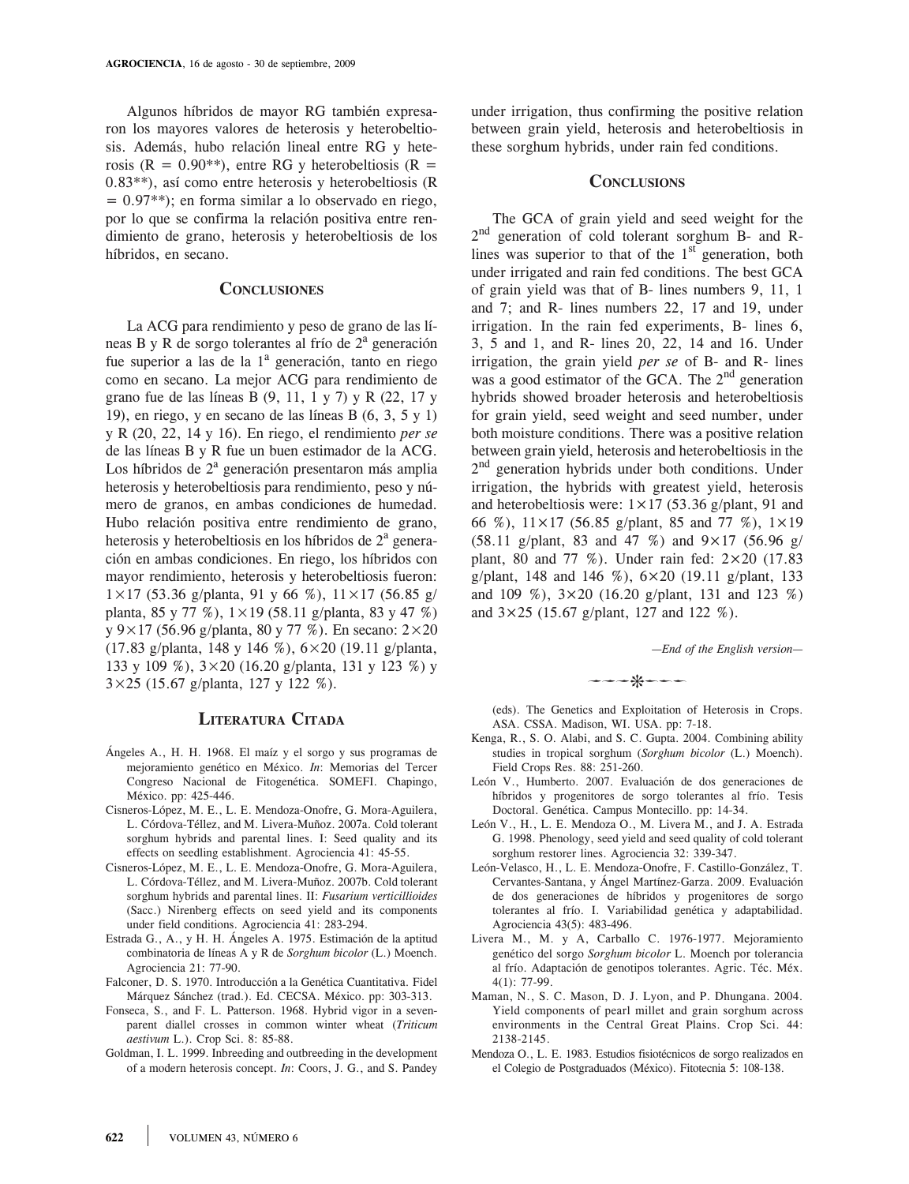Algunos híbridos de mayor RG también expresaron los mayores valores de heterosis y heterobeltiosis. Además, hubo relación lineal entre RG y heterosis ( $R = 0.90^{**}$ ), entre RG y heterobeltiosis ( $R =$ 0.83\*\*), así como entre heterosis y heterobeltiosis (R  $= 0.97$ <sup>\*\*</sup>); en forma similar a lo observado en riego, por lo que se confirma la relación positiva entre rendimiento de grano, heterosis y heterobeltiosis de los híbridos, en secano.

# **Conclusiones**

La ACG para rendimiento y peso de grano de las líneas B y R de sorgo tolerantes al frío de 2<sup>a</sup> generación fue superior a las de la 1<sup>ª</sup> generación, tanto en riego como en secano. La mejor ACG para rendimiento de grano fue de las líneas B (9, 11, 1 y 7) y R (22, 17 y 19), en riego, y en secano de las líneas B (6, 3, 5 y 1) y R (20, 22, 14 y 16). En riego, el rendimiento *per se*  de las líneas B y R fue un buen estimador de la ACG. Los híbridos de  $2<sup>a</sup>$  generación presentaron más amplia heterosis y heterobeltiosis para rendimiento, peso y número de granos, en ambas condiciones de humedad. Hubo relación positiva entre rendimiento de grano, heterosis y heterobeltiosis en los híbridos de  $2<sup>a</sup>$  generación en ambas condiciones. En riego, los híbridos con mayor rendimiento, heterosis y heterobeltiosis fueron:  $1 \times 17$  (53.36 g/planta, 91 y 66 %),  $11 \times 17$  (56.85 g/ planta, 85 y 77 %), 1×19 (58.11 g/planta, 83 y 47 %) y 9×17 (56.96 g/planta, 80 y 77 %). En secano: 2×20 (17.83 g/planta, 148 y 146 %), 6×20 (19.11 g/planta, 133 y 109 %), 3×20 (16.20 g/planta, 131 y 123 %) y 3×25 (15.67 g/planta, 127 y 122 %).

#### **Literatura Citada**

- Ángeles A., H. H. 1968. El maíz y el sorgo y sus programas de mejoramiento genético en México. *In*: Memorias del Tercer Congreso Nacional de Fitogenética. SOMEFI. Chapingo, México. pp: 425-446.
- Cisneros-López, M. E., L. E. Mendoza-Onofre, G. Mora-Aguilera, L. Córdova-Téllez, and M. Livera-Muñoz. 2007a. Cold tolerant sorghum hybrids and parental lines. I: Seed quality and its effects on seedling establishment. Agrociencia 41: 45-55.
- Cisneros-López, M. E., L. E. Mendoza-Onofre, G. Mora-Aguilera, L. Córdova-Téllez, and M. Livera-Muñoz. 2007b. Cold tolerant sorghum hybrids and parental lines. II: *Fusarium verticillioides*  (Sacc.) Nirenberg effects on seed yield and its components under field conditions. Agrociencia 41: 283-294.
- Estrada G., A., y H. H. Ángeles A. 1975. Estimación de la aptitud combinatoria de líneas A y R de *Sorghum bicolor* (L.) Moench. Agrociencia 21: 77-90.
- Falconer, D. S. 1970. Introducción a la Genética Cuantitativa. Fidel Márquez Sánchez (trad.). Ed. CECSA. México. pp: 303-313.
- Fonseca, S., and F. L. Patterson. 1968. Hybrid vigor in a sevenparent diallel crosses in common winter wheat (*Triticum aestivum* L.). Crop Sci. 8: 85-88.
- Goldman, I. L. 1999. Inbreeding and outbreeding in the development of a modern heterosis concept. *In*: Coors, J. G., and S. Pandey

under irrigation, thus confirming the positive relation between grain yield, heterosis and heterobeltiosis in these sorghum hybrids, under rain fed conditions.

# **Conclusions**

The GCA of grain yield and seed weight for the 2nd generation of cold tolerant sorghum B- and Rlines was superior to that of the  $1<sup>st</sup>$  generation, both under irrigated and rain fed conditions. The best GCA of grain yield was that of B- lines numbers 9, 11, 1 and 7; and R- lines numbers 22, 17 and 19, under irrigation. In the rain fed experiments, B- lines 6, 3, 5 and 1, and R- lines 20, 22, 14 and 16. Under irrigation, the grain yield *per se* of B- and R- lines was a good estimator of the GCA. The  $2<sup>nd</sup>$  generation hybrids showed broader heterosis and heterobeltiosis for grain yield, seed weight and seed number, under both moisture conditions. There was a positive relation between grain yield, heterosis and heterobeltiosis in the  $2<sup>nd</sup>$  generation hybrids under both conditions. Under irrigation, the hybrids with greatest yield, heterosis and heterobeltiosis were:  $1 \times 17$  (53.36 g/plant, 91 and 66 %),  $11 \times 17$  (56.85 g/plant, 85 and 77 %),  $1 \times 19$  $(58.11 \text{ g/plant}, 83 \text{ and } 47 \%)$  and  $9 \times 17$   $(56.96 \text{ g/}$ plant, 80 and 77 %). Under rain fed:  $2 \times 20$  (17.83) g/plant, 148 and 146 %),  $6 \times 20$  (19.11 g/plant, 133 and 109 %),  $3 \times 20$  (16.20 g/plant, 131 and 123 %) and  $3 \times 25$  (15.67 g/plant, 127 and 122 %).

*—End of the English version—*

 $- -$ 

(eds). The Genetics and Exploitation of Heterosis in Crops. ASA. CSSA. Madison, WI. USA. pp: 7-18.

- Kenga, R., S. O. Alabi, and S. C. Gupta. 2004. Combining ability studies in tropical sorghum (*Sorghum bicolor* (L.) Moench). Field Crops Res. 88: 251-260.
- León V., Humberto. 2007. Evaluación de dos generaciones de híbridos y progenitores de sorgo tolerantes al frío. Tesis Doctoral. Genética. Campus Montecillo. pp: 14-34.
- León V., H., L. E. Mendoza O., M. Livera M., and J. A. Estrada G. 1998. Phenology, seed yield and seed quality of cold tolerant sorghum restorer lines. Agrociencia 32: 339-347.
- León-Velasco, H., L. E. Mendoza-Onofre, F. Castillo-González, T. Cervantes-Santana, y Ángel Martínez-Garza. 2009. Evaluación de dos generaciones de híbridos y progenitores de sorgo tolerantes al frío. I. Variabilidad genética y adaptabilidad. Agrociencia 43(5): 483-496.
- Livera M., M. y A, Carballo C. 1976-1977. Mejoramiento genético del sorgo *Sorghum bicolor* L. Moench por tolerancia al frío. Adaptación de genotipos tolerantes. Agric. Téc. Méx. 4(1): 77-99.
- Maman, N., S. C. Mason, D. J. Lyon, and P. Dhungana. 2004. Yield components of pearl millet and grain sorghum across environments in the Central Great Plains. Crop Sci. 44: 2138-2145.
- Mendoza O., L. E. 1983. Estudios fisiotécnicos de sorgo realizados en el Colegio de Postgraduados (México). Fitotecnia 5: 108-138.